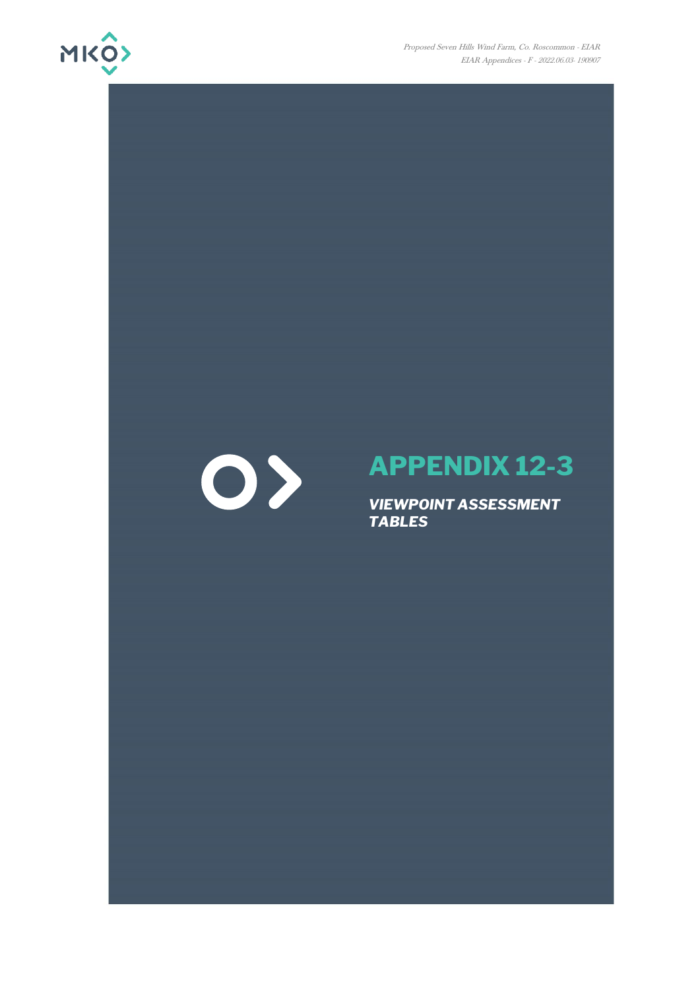

Proposed Seven Hills Wind Farm, Co. Roscommon - EIAR EIAR Appendices - F - 2022.06.03- 190907



## **APPENDIX 12-3**

*VIEWPOINT ASSESSMENT TABLES*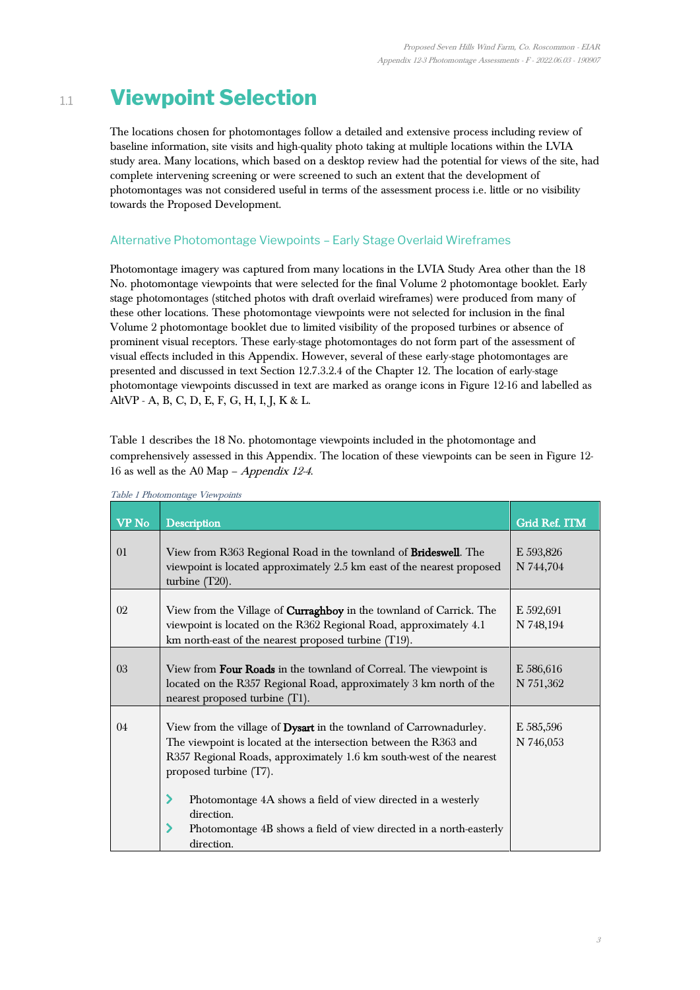## 1.1 **Viewpoint Selection**

The locations chosen for photomontages follow a detailed and extensive process including review of baseline information, site visits and high-quality photo taking at multiple locations within the LVIA study area. Many locations, which based on a desktop review had the potential for views of the site, had complete intervening screening or were screened to such an extent that the development of photomontages was not considered useful in terms of the assessment process i.e. little or no visibility towards the Proposed Development.

## Alternative Photomontage Viewpoints – Early Stage Overlaid Wireframes

Photomontage imagery was captured from many locations in the LVIA Study Area other than the 18 No. photomontage viewpoints that were selected for the final Volume 2 photomontage booklet. Early stage photomontages (stitched photos with draft overlaid wireframes) were produced from many of these other locations. These photomontage viewpoints were not selected for inclusion in the final Volume 2 photomontage booklet due to limited visibility of the proposed turbines or absence of prominent visual receptors. These early-stage photomontages do not form part of the assessment of visual effects included in this Appendix. However, several of these early-stage photomontages are presented and discussed in text Section 12.7.3.2.4 of the Chapter 12. The location of early-stage photomontage viewpoints discussed in text are marked as orange icons in Figure 12-16 and labelled as AltVP - A, B, C, D, E, F, G, H, I, J, K & L.

[Table 1](#page-1-0) describes the 18 No. photomontage viewpoints included in the photomontage and comprehensively assessed in this Appendix. The location of these viewpoints can be seen in Figure 12- 16 as well as the A0 Map – Appendix 12-4.

| <b>VP</b> No | <b>Description</b>                                                                                                                                                                                                                       | Grid Ref. ITM          |
|--------------|------------------------------------------------------------------------------------------------------------------------------------------------------------------------------------------------------------------------------------------|------------------------|
| 01           | View from R363 Regional Road in the townland of Brideswell. The<br>viewpoint is located approximately 2.5 km east of the nearest proposed<br>turbine (T20).                                                                              | E 593,826<br>N 744,704 |
| 02           | View from the Village of <b>Curraghboy</b> in the townland of Carrick. The<br>viewpoint is located on the R362 Regional Road, approximately 4.1<br>km north-east of the nearest proposed turbine (T19).                                  | E 592,691<br>N 748,194 |
| 03           | View from Four Roads in the townland of Correal. The viewpoint is<br>located on the R357 Regional Road, approximately 3 km north of the<br>nearest proposed turbine (T1).                                                                | E 586,616<br>N 751,362 |
| 04           | View from the village of Dysart in the townland of Carrownadurley.<br>The viewpoint is located at the intersection between the R363 and<br>R357 Regional Roads, approximately 1.6 km south-west of the nearest<br>proposed turbine (T7). | E 585,596<br>N 746,053 |
|              | Photomontage 4A shows a field of view directed in a westerly<br>direction.<br>Photomontage 4B shows a field of view directed in a north-easterly<br>direction.                                                                           |                        |

<span id="page-1-0"></span>Table 1 Photomontage Viewpoints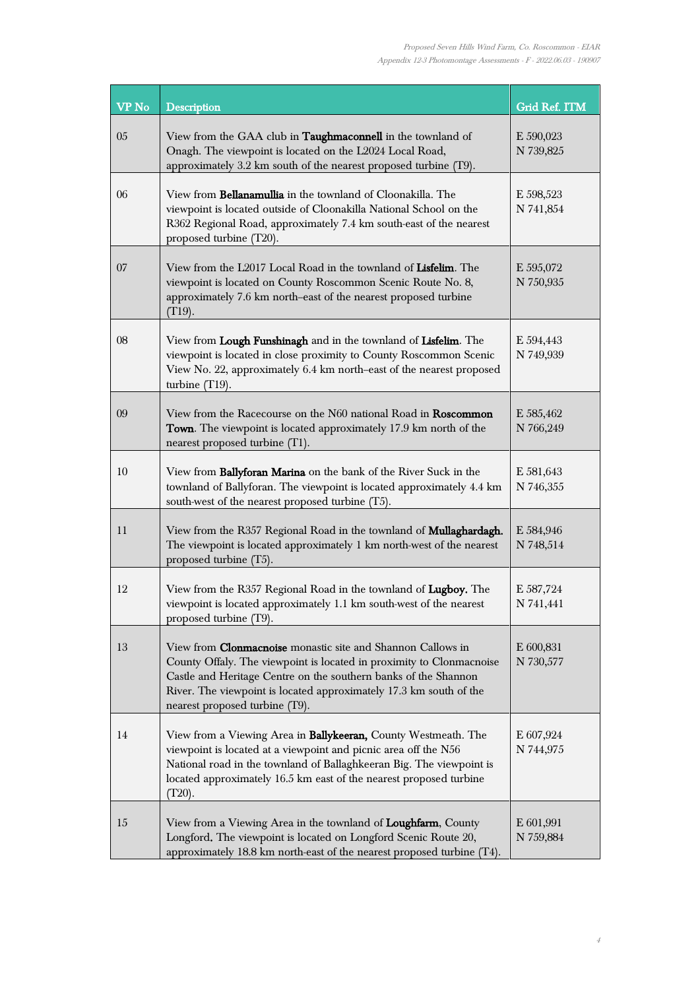| <b>VP</b> No | <b>Description</b>                                                                                                                                                                                                                                                                                                    | Grid Ref. ITM          |
|--------------|-----------------------------------------------------------------------------------------------------------------------------------------------------------------------------------------------------------------------------------------------------------------------------------------------------------------------|------------------------|
| 05           | View from the GAA club in <b>Taughmaconnell</b> in the townland of<br>Onagh. The viewpoint is located on the L2024 Local Road,<br>approximately 3.2 km south of the nearest proposed turbine (T9).                                                                                                                    | E 590,023<br>N 739,825 |
| 06           | View from Bellanamullia in the townland of Cloonakilla. The<br>viewpoint is located outside of Cloonakilla National School on the<br>R362 Regional Road, approximately 7.4 km south-east of the nearest<br>proposed turbine (T20).                                                                                    | E 598,523<br>N 741,854 |
| 07           | View from the L2017 Local Road in the townland of Lisfelim. The<br>viewpoint is located on County Roscommon Scenic Route No. 8,<br>approximately 7.6 km north-east of the nearest proposed turbine<br>$(T19)$ .                                                                                                       | E 595,072<br>N 750,935 |
| 08           | View from Lough Funshinagh and in the townland of Lisfelim. The<br>viewpoint is located in close proximity to County Roscommon Scenic<br>View No. 22, approximately 6.4 km north-east of the nearest proposed<br>turbine $(T19)$ .                                                                                    | E 594,443<br>N 749,939 |
| 09           | View from the Racecourse on the N60 national Road in Roscommon<br>Town. The viewpoint is located approximately 17.9 km north of the<br>nearest proposed turbine (T1).                                                                                                                                                 | E 585,462<br>N 766,249 |
| 10           | View from Ballyforan Marina on the bank of the River Suck in the<br>townland of Ballyforan. The viewpoint is located approximately 4.4 km<br>south-west of the nearest proposed turbine (T5).                                                                                                                         | E 581,643<br>N 746,355 |
| 11           | View from the R357 Regional Road in the townland of <b>Mullaghardagh.</b><br>The viewpoint is located approximately 1 km north-west of the nearest<br>proposed turbine (T5).                                                                                                                                          | E 584,946<br>N 748,514 |
| 12           | View from the R357 Regional Road in the townland of Lugboy. The<br>viewpoint is located approximately 1.1 km south-west of the nearest<br>proposed turbine (T9).                                                                                                                                                      | E 587,724<br>N 741,441 |
| 13           | View from <b>Clonmacnoise</b> monastic site and Shannon Callows in<br>County Offaly. The viewpoint is located in proximity to Clonmacnoise<br>Castle and Heritage Centre on the southern banks of the Shannon<br>River. The viewpoint is located approximately 17.3 km south of the<br>nearest proposed turbine (T9). | E 600,831<br>N 730,577 |
| 14           | View from a Viewing Area in <b>Ballykeeran</b> , County Westmeath. The<br>viewpoint is located at a viewpoint and picnic area off the N56<br>National road in the townland of Ballaghkeeran Big. The viewpoint is<br>located approximately 16.5 km east of the nearest proposed turbine<br>$(T20)$ .                  | E 607,924<br>N 744,975 |
| 15           | View from a Viewing Area in the townland of Loughfarm, County<br>Longford. The viewpoint is located on Longford Scenic Route 20,<br>approximately 18.8 km north-east of the nearest proposed turbine (T4).                                                                                                            | E 601,991<br>N 759,884 |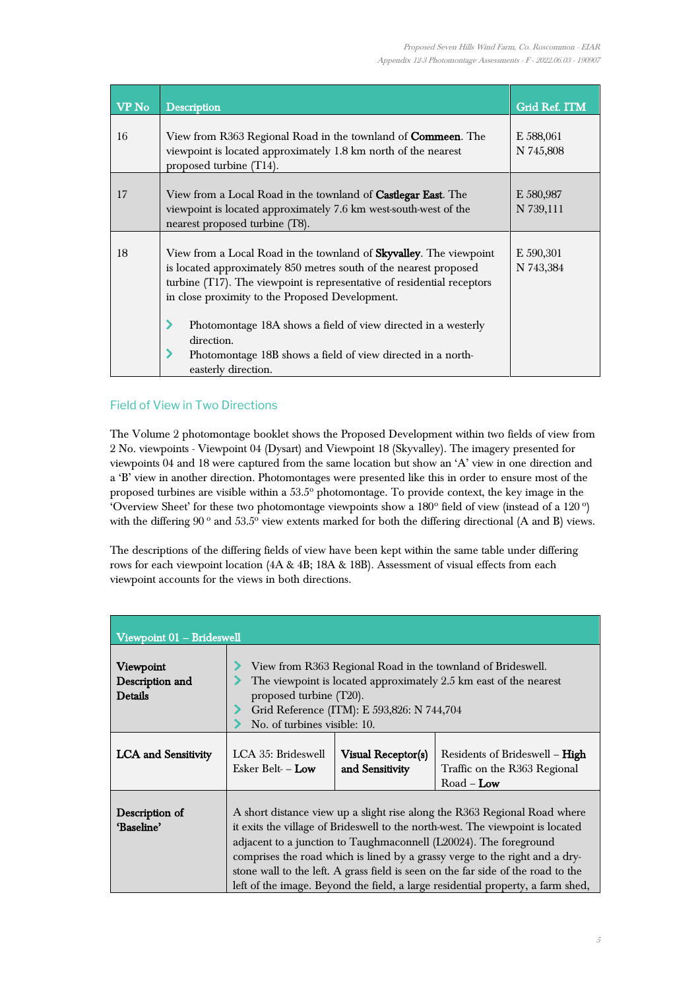| VP No | <b>Description</b>                                                                                                                                                                                                                                                            | <b>Grid Ref. ITM</b>   |
|-------|-------------------------------------------------------------------------------------------------------------------------------------------------------------------------------------------------------------------------------------------------------------------------------|------------------------|
| 16    | View from R363 Regional Road in the townland of <b>Commeen</b> . The<br>viewpoint is located approximately 1.8 km north of the nearest<br>proposed turbine (T14).                                                                                                             | E 588,061<br>N 745,808 |
| 17    | View from a Local Road in the townland of <b>Castlegar East</b> . The<br>viewpoint is located approximately 7.6 km west-south-west of the<br>nearest proposed turbine (T8).                                                                                                   | E 580,987<br>N 739,111 |
| 18    | View from a Local Road in the townland of <b>Skyvalley</b> . The viewpoint<br>is located approximately 850 metres south of the nearest proposed<br>turbine (T17). The viewpoint is representative of residential receptors<br>in close proximity to the Proposed Development. | E 590,301<br>N 743,384 |
|       | Photomontage 18A shows a field of view directed in a westerly<br>direction.<br>Photomontage 18B shows a field of view directed in a north-<br>easterly direction.                                                                                                             |                        |

## Field of View in Two Directions

The Volume 2 photomontage booklet shows the Proposed Development within two fields of view from 2 No. viewpoints - Viewpoint 04 (Dysart) and Viewpoint 18 (Skyvalley). The imagery presented for viewpoints 04 and 18 were captured from the same location but show an 'A' view in one direction and a 'B' view in another direction. Photomontages were presented like this in order to ensure most of the proposed turbines are visible within a 53.5° photomontage. To provide context, the key image in the 'Overview Sheet' for these two photomontage viewpoints show a  $180^\circ$  field of view (instead of a  $120^\circ$ ) with the differing  $90^{\circ}$  and  $53.5^{\circ}$  view extents marked for both the differing directional (A and B) views.

The descriptions of the differing fields of view have been kept within the same table under differing rows for each viewpoint location (4A & 4B; 18A & 18B). Assessment of visual effects from each viewpoint accounts for the views in both directions.

| Viewpoint 01 - Brideswell               |                                                                                                                                                                                                                                                                                                                                                                                                                                                                                        |                                       |                                                                                     |  |
|-----------------------------------------|----------------------------------------------------------------------------------------------------------------------------------------------------------------------------------------------------------------------------------------------------------------------------------------------------------------------------------------------------------------------------------------------------------------------------------------------------------------------------------------|---------------------------------------|-------------------------------------------------------------------------------------|--|
| Viewpoint<br>Description and<br>Details | View from R363 Regional Road in the townland of Brideswell.<br>The viewpoint is located approximately 2.5 km east of the nearest<br>proposed turbine (T20).<br>Grid Reference (ITM): E 593,826: N 744,704<br>No. of turbines visible: 10.                                                                                                                                                                                                                                              |                                       |                                                                                     |  |
| <b>LCA</b> and Sensitivity              | LCA 35: Brideswell<br>Esker Belt- - Low                                                                                                                                                                                                                                                                                                                                                                                                                                                | Visual Receptor(s)<br>and Sensitivity | Residents of Brideswell – <b>High</b><br>Traffic on the R363 Regional<br>Road – Low |  |
| Description of<br>'Baseline'            | A short distance view up a slight rise along the R363 Regional Road where<br>it exits the village of Brideswell to the north-west. The viewpoint is located<br>adjacent to a junction to Taughmaconnell (L20024). The foreground<br>comprises the road which is lined by a grassy verge to the right and a dry-<br>stone wall to the left. A grass field is seen on the far side of the road to the<br>left of the image. Beyond the field, a large residential property, a farm shed, |                                       |                                                                                     |  |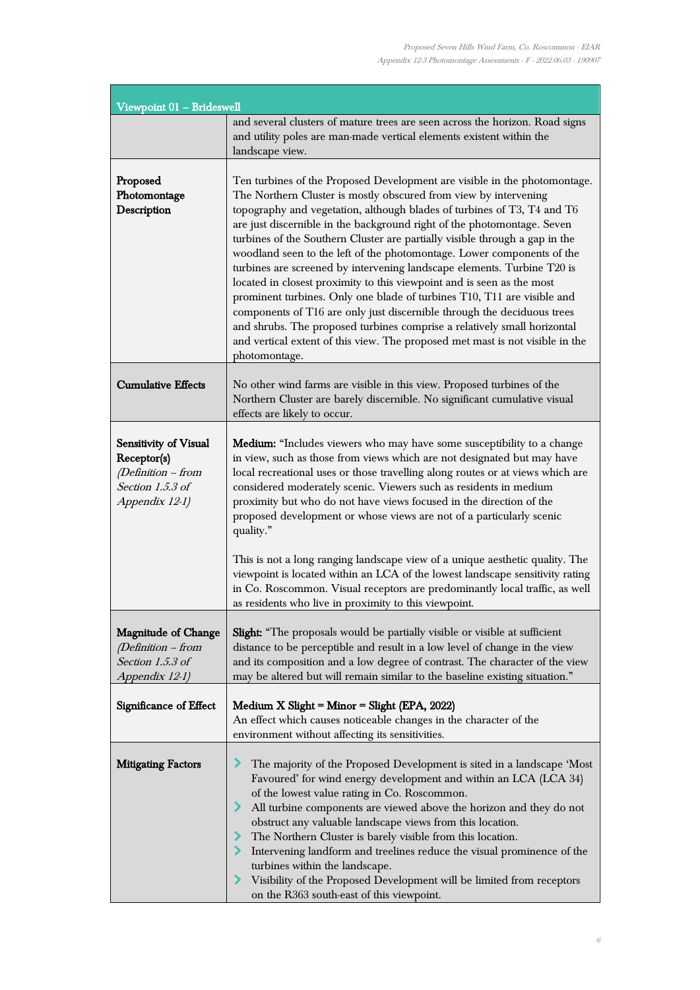ł,

| Viewpoint 01 - Brideswell                                                                          |                                                                                                                                                                                                                                                                                                                                                                                                                                                                                                                                                                                                                                                                                                                                                                                                                                                                                                                                                       |  |  |
|----------------------------------------------------------------------------------------------------|-------------------------------------------------------------------------------------------------------------------------------------------------------------------------------------------------------------------------------------------------------------------------------------------------------------------------------------------------------------------------------------------------------------------------------------------------------------------------------------------------------------------------------------------------------------------------------------------------------------------------------------------------------------------------------------------------------------------------------------------------------------------------------------------------------------------------------------------------------------------------------------------------------------------------------------------------------|--|--|
|                                                                                                    | and several clusters of mature trees are seen across the horizon. Road signs<br>and utility poles are man-made vertical elements existent within the<br>landscape view.                                                                                                                                                                                                                                                                                                                                                                                                                                                                                                                                                                                                                                                                                                                                                                               |  |  |
| Proposed<br>Photomontage<br>Description                                                            | Ten turbines of the Proposed Development are visible in the photomontage.<br>The Northern Cluster is mostly obscured from view by intervening<br>topography and vegetation, although blades of turbines of T3, T4 and T6<br>are just discernible in the background right of the photomontage. Seven<br>turbines of the Southern Cluster are partially visible through a gap in the<br>woodland seen to the left of the photomontage. Lower components of the<br>turbines are screened by intervening landscape elements. Turbine T20 is<br>located in closest proximity to this viewpoint and is seen as the most<br>prominent turbines. Only one blade of turbines T10, T11 are visible and<br>components of T16 are only just discernible through the deciduous trees<br>and shrubs. The proposed turbines comprise a relatively small horizontal<br>and vertical extent of this view. The proposed met mast is not visible in the<br>photomontage. |  |  |
| <b>Cumulative Effects</b>                                                                          | No other wind farms are visible in this view. Proposed turbines of the<br>Northern Cluster are barely discernible. No significant cumulative visual<br>effects are likely to occur.                                                                                                                                                                                                                                                                                                                                                                                                                                                                                                                                                                                                                                                                                                                                                                   |  |  |
| Sensitivity of Visual<br>Receptor(s)<br>$(Definition - from$<br>Section 1.5.3 of<br>Appendix 12-1) | <b>Medium:</b> "Includes viewers who may have some susceptibility to a change<br>in view, such as those from views which are not designated but may have<br>local recreational uses or those travelling along routes or at views which are<br>considered moderately scenic. Viewers such as residents in medium<br>proximity but who do not have views focused in the direction of the<br>proposed development or whose views are not of a particularly scenic<br>quality."<br>This is not a long ranging landscape view of a unique aesthetic quality. The<br>viewpoint is located within an LCA of the lowest landscape sensitivity rating                                                                                                                                                                                                                                                                                                          |  |  |
|                                                                                                    | in Co. Roscommon. Visual receptors are predominantly local traffic, as well<br>as residents who live in proximity to this viewpoint.                                                                                                                                                                                                                                                                                                                                                                                                                                                                                                                                                                                                                                                                                                                                                                                                                  |  |  |
| <b>Magnitude of Change</b><br>$(Definition - from$<br>Section 1.5.3 of<br>Appendix 12-1)           | Slight: "The proposals would be partially visible or visible at sufficient<br>distance to be perceptible and result in a low level of change in the view<br>and its composition and a low degree of contrast. The character of the view<br>may be altered but will remain similar to the baseline existing situation."                                                                                                                                                                                                                                                                                                                                                                                                                                                                                                                                                                                                                                |  |  |
| Significance of Effect                                                                             | Medium X Slight = Minor = Slight (EPA, 2022)<br>An effect which causes noticeable changes in the character of the<br>environment without affecting its sensitivities.                                                                                                                                                                                                                                                                                                                                                                                                                                                                                                                                                                                                                                                                                                                                                                                 |  |  |
| <b>Mitigating Factors</b>                                                                          | The majority of the Proposed Development is sited in a landscape 'Most<br>Favoured' for wind energy development and within an LCA (LCA 34)<br>of the lowest value rating in Co. Roscommon.<br>All turbine components are viewed above the horizon and they do not<br>obstruct any valuable landscape views from this location.<br>The Northern Cluster is barely visible from this location.<br>> Intervening landform and treelines reduce the visual prominence of the<br>turbines within the landscape.<br>> Visibility of the Proposed Development will be limited from receptors<br>on the R363 south-east of this viewpoint.                                                                                                                                                                                                                                                                                                                    |  |  |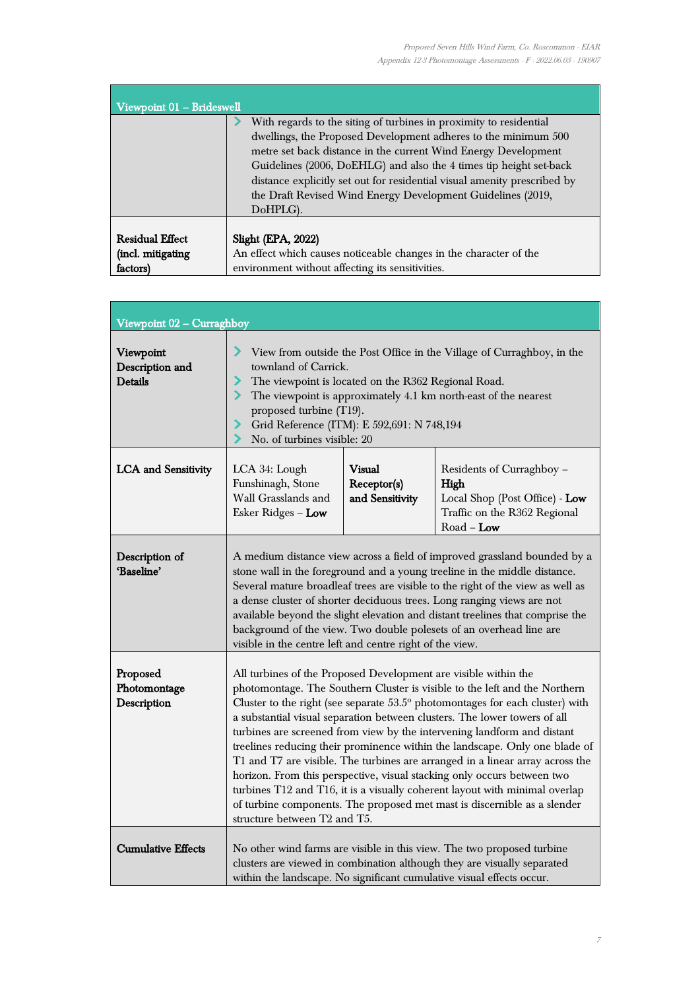$\overline{\phantom{a}}$ 

| Viewpoint 01 - Brideswell                               |                                                                                                                                                                                                                                                                                                                                                                                                                         |
|---------------------------------------------------------|-------------------------------------------------------------------------------------------------------------------------------------------------------------------------------------------------------------------------------------------------------------------------------------------------------------------------------------------------------------------------------------------------------------------------|
|                                                         | With regards to the siting of turbines in proximity to residential<br>dwellings, the Proposed Development adheres to the minimum 500<br>metre set back distance in the current Wind Energy Development<br>Guidelines (2006, DoEHLG) and also the 4 times tip height set-back<br>distance explicitly set out for residential visual amenity prescribed by<br>the Draft Revised Wind Energy Development Guidelines (2019, |
|                                                         | DoHPLG).                                                                                                                                                                                                                                                                                                                                                                                                                |
| <b>Residual Effect</b><br>(incl. mitigating<br>factors) | Slight (EPA, 2022)<br>An effect which causes noticeable changes in the character of the<br>environment without affecting its sensitivities.                                                                                                                                                                                                                                                                             |

| Viewpoint 02 - Curraghboy                      |                                                                                                                                                                                                                                                                                                                                                                                                                                                                                                                                                                                                                                                                                                                                                                                                                                       |  |  |
|------------------------------------------------|---------------------------------------------------------------------------------------------------------------------------------------------------------------------------------------------------------------------------------------------------------------------------------------------------------------------------------------------------------------------------------------------------------------------------------------------------------------------------------------------------------------------------------------------------------------------------------------------------------------------------------------------------------------------------------------------------------------------------------------------------------------------------------------------------------------------------------------|--|--|
| Viewpoint<br>Description and<br><b>Details</b> | ⋗<br>View from outside the Post Office in the Village of Curraghboy, in the<br>townland of Carrick.<br>⋗<br>The viewpoint is located on the R362 Regional Road.<br>$\blacktriangleright$<br>The viewpoint is approximately 4.1 km north-east of the nearest<br>proposed turbine (T19).<br>⋗<br>Grid Reference (ITM): E 592,691: N 748,194<br>No. of turbines visible: 20<br>⋗                                                                                                                                                                                                                                                                                                                                                                                                                                                         |  |  |
| <b>LCA</b> and Sensitivity                     | <b>Visual</b><br>LCA 34: Lough<br>Residents of Curraghboy -<br>Funshinagh, Stone<br>Receptor(s)<br>High<br>Wall Grasslands and<br>and Sensitivity<br>Local Shop (Post Office) - Low<br>Traffic on the R362 Regional<br>Esker Ridges - Low<br>$Road - Low$                                                                                                                                                                                                                                                                                                                                                                                                                                                                                                                                                                             |  |  |
| Description of<br>'Baseline'                   | A medium distance view across a field of improved grassland bounded by a<br>stone wall in the foreground and a young treeline in the middle distance.<br>Several mature broadleaf trees are visible to the right of the view as well as<br>a dense cluster of shorter deciduous trees. Long ranging views are not<br>available beyond the slight elevation and distant treelines that comprise the<br>background of the view. Two double polesets of an overhead line are<br>visible in the centre left and centre right of the view.                                                                                                                                                                                                                                                                                                 |  |  |
| Proposed<br>Photomontage<br>Description        | All turbines of the Proposed Development are visible within the<br>photomontage. The Southern Cluster is visible to the left and the Northern<br>Cluster to the right (see separate $53.5^{\circ}$ photomontages for each cluster) with<br>a substantial visual separation between clusters. The lower towers of all<br>turbines are screened from view by the intervening landform and distant<br>treelines reducing their prominence within the landscape. Only one blade of<br>T1 and T7 are visible. The turbines are arranged in a linear array across the<br>horizon. From this perspective, visual stacking only occurs between two<br>turbines T12 and T16, it is a visually coherent layout with minimal overlap<br>of turbine components. The proposed met mast is discernible as a slender<br>structure between T2 and T5. |  |  |
| <b>Cumulative Effects</b>                      | No other wind farms are visible in this view. The two proposed turbine<br>clusters are viewed in combination although they are visually separated<br>within the landscape. No significant cumulative visual effects occur.                                                                                                                                                                                                                                                                                                                                                                                                                                                                                                                                                                                                            |  |  |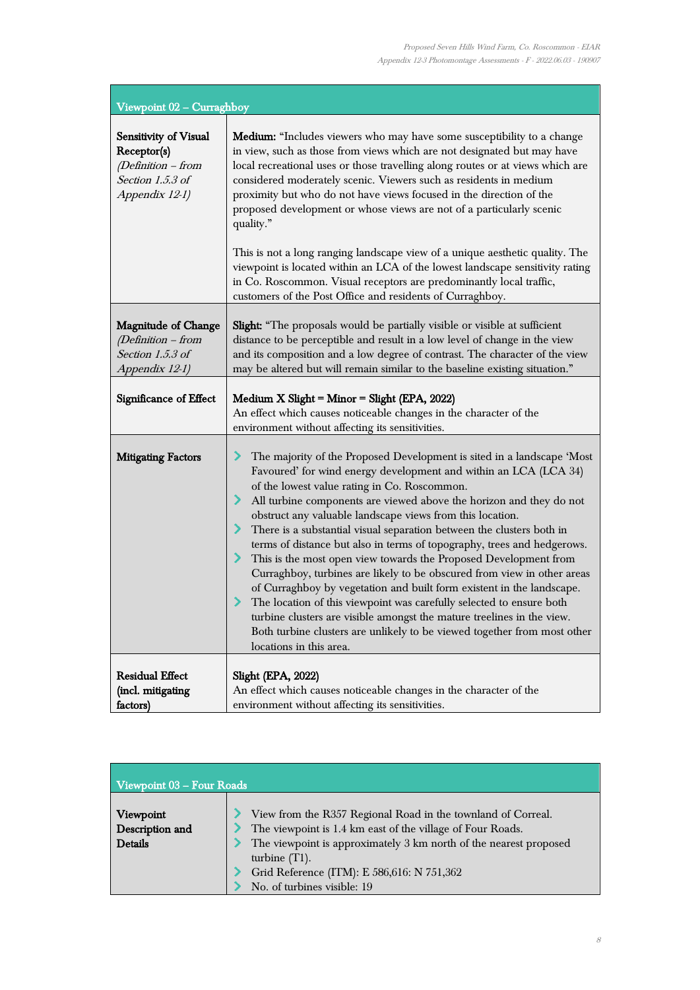ī

| Viewpoint 02 - Curraghboy                                                                        |                                                                                                                                                                                                                                                                                                                                                                                                                                                                                                                                                                                                                                                                                                                                                                                                                                                                                                                                                                                    |  |  |
|--------------------------------------------------------------------------------------------------|------------------------------------------------------------------------------------------------------------------------------------------------------------------------------------------------------------------------------------------------------------------------------------------------------------------------------------------------------------------------------------------------------------------------------------------------------------------------------------------------------------------------------------------------------------------------------------------------------------------------------------------------------------------------------------------------------------------------------------------------------------------------------------------------------------------------------------------------------------------------------------------------------------------------------------------------------------------------------------|--|--|
| Sensitivity of Visual<br>Receptor(s)<br>(Definition - from<br>Section 1.5.3 of<br>Appendix 12-1) | <b>Medium:</b> "Includes viewers who may have some susceptibility to a change<br>in view, such as those from views which are not designated but may have<br>local recreational uses or those travelling along routes or at views which are<br>considered moderately scenic. Viewers such as residents in medium<br>proximity but who do not have views focused in the direction of the<br>proposed development or whose views are not of a particularly scenic<br>quality."                                                                                                                                                                                                                                                                                                                                                                                                                                                                                                        |  |  |
|                                                                                                  | This is not a long ranging landscape view of a unique aesthetic quality. The<br>viewpoint is located within an LCA of the lowest landscape sensitivity rating<br>in Co. Roscommon. Visual receptors are predominantly local traffic,<br>customers of the Post Office and residents of Curraghboy.                                                                                                                                                                                                                                                                                                                                                                                                                                                                                                                                                                                                                                                                                  |  |  |
| <b>Magnitude of Change</b><br>(Definition - from<br>Section 1.5.3 of<br>Appendix 12-1)           | Slight: "The proposals would be partially visible or visible at sufficient<br>distance to be perceptible and result in a low level of change in the view<br>and its composition and a low degree of contrast. The character of the view<br>may be altered but will remain similar to the baseline existing situation."                                                                                                                                                                                                                                                                                                                                                                                                                                                                                                                                                                                                                                                             |  |  |
| Significance of Effect                                                                           | Medium X Slight = Minor = Slight (EPA, 2022)<br>An effect which causes noticeable changes in the character of the<br>environment without affecting its sensitivities.                                                                                                                                                                                                                                                                                                                                                                                                                                                                                                                                                                                                                                                                                                                                                                                                              |  |  |
| <b>Mitigating Factors</b>                                                                        | The majority of the Proposed Development is sited in a landscape 'Most<br>↗<br>Favoured' for wind energy development and within an LCA (LCA 34)<br>of the lowest value rating in Co. Roscommon.<br>All turbine components are viewed above the horizon and they do not<br>obstruct any valuable landscape views from this location.<br>There is a substantial visual separation between the clusters both in<br>⋗<br>terms of distance but also in terms of topography, trees and hedgerows.<br>⋗<br>This is the most open view towards the Proposed Development from<br>Curraghboy, turbines are likely to be obscured from view in other areas<br>of Curraghboy by vegetation and built form existent in the landscape.<br>The location of this viewpoint was carefully selected to ensure both<br>turbine clusters are visible amongst the mature treelines in the view.<br>Both turbine clusters are unlikely to be viewed together from most other<br>locations in this area. |  |  |
| <b>Residual Effect</b><br>(incl. mitigating<br>factors)                                          | <b>Slight (EPA, 2022)</b><br>An effect which causes noticeable changes in the character of the<br>environment without affecting its sensitivities.                                                                                                                                                                                                                                                                                                                                                                                                                                                                                                                                                                                                                                                                                                                                                                                                                                 |  |  |

| Viewpoint 03 – Four Roads               |                                                                                                                                                                                                                                                                                                  |  |  |  |
|-----------------------------------------|--------------------------------------------------------------------------------------------------------------------------------------------------------------------------------------------------------------------------------------------------------------------------------------------------|--|--|--|
| Viewpoint<br>Description and<br>Details | View from the R357 Regional Road in the townland of Correal.<br>The viewpoint is 1.4 km east of the village of Four Roads.<br>The viewpoint is approximately 3 km north of the nearest proposed<br>turbine $(T1)$ .<br>Grid Reference (ITM): E 586,616: N 751,362<br>No. of turbines visible: 19 |  |  |  |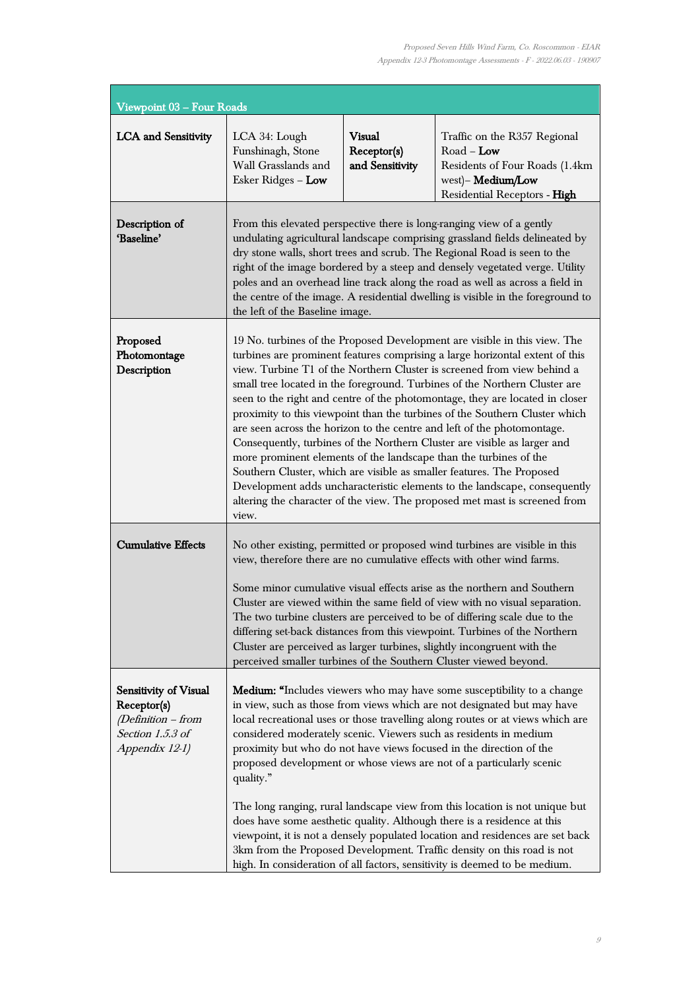| Viewpoint 03 - Four Roads                                                                                 |                                                                                                                                                                                                                                                                                                                                                                                                                                                                                                                                                                                                                                                                                                                                                                                                                                                                                                                                                            |                                                 |                                                                                                                                     |
|-----------------------------------------------------------------------------------------------------------|------------------------------------------------------------------------------------------------------------------------------------------------------------------------------------------------------------------------------------------------------------------------------------------------------------------------------------------------------------------------------------------------------------------------------------------------------------------------------------------------------------------------------------------------------------------------------------------------------------------------------------------------------------------------------------------------------------------------------------------------------------------------------------------------------------------------------------------------------------------------------------------------------------------------------------------------------------|-------------------------------------------------|-------------------------------------------------------------------------------------------------------------------------------------|
| <b>LCA</b> and Sensitivity                                                                                | LCA 34: Lough<br>Funshinagh, Stone<br>Wall Grasslands and<br>Esker Ridges - Low                                                                                                                                                                                                                                                                                                                                                                                                                                                                                                                                                                                                                                                                                                                                                                                                                                                                            | <b>Visual</b><br>Receptor(s)<br>and Sensitivity | Traffic on the R357 Regional<br>$Road - Low$<br>Residents of Four Roads (1.4km<br>west)- Medium/Low<br>Residential Receptors - High |
| Description of<br>'Baseline'                                                                              | From this elevated perspective there is long-ranging view of a gently<br>undulating agricultural landscape comprising grassland fields delineated by<br>dry stone walls, short trees and scrub. The Regional Road is seen to the<br>right of the image bordered by a steep and densely vegetated verge. Utility<br>poles and an overhead line track along the road as well as across a field in<br>the centre of the image. A residential dwelling is visible in the foreground to<br>the left of the Baseline image.                                                                                                                                                                                                                                                                                                                                                                                                                                      |                                                 |                                                                                                                                     |
| Proposed<br>Photomontage<br>Description                                                                   | 19 No. turbines of the Proposed Development are visible in this view. The<br>turbines are prominent features comprising a large horizontal extent of this<br>view. Turbine T1 of the Northern Cluster is screened from view behind a<br>small tree located in the foreground. Turbines of the Northern Cluster are<br>seen to the right and centre of the photomontage, they are located in closer<br>proximity to this viewpoint than the turbines of the Southern Cluster which<br>are seen across the horizon to the centre and left of the photomontage.<br>Consequently, turbines of the Northern Cluster are visible as larger and<br>more prominent elements of the landscape than the turbines of the<br>Southern Cluster, which are visible as smaller features. The Proposed<br>Development adds uncharacteristic elements to the landscape, consequently<br>altering the character of the view. The proposed met mast is screened from<br>view. |                                                 |                                                                                                                                     |
| <b>Cumulative Effects</b>                                                                                 | No other existing, permitted or proposed wind turbines are visible in this<br>view, therefore there are no cumulative effects with other wind farms.<br>Some minor cumulative visual effects arise as the northern and Southern<br>Cluster are viewed within the same field of view with no visual separation.<br>The two turbine clusters are perceived to be of differing scale due to the<br>differing set-back distances from this viewpoint. Turbines of the Northern<br>Cluster are perceived as larger turbines, slightly incongruent with the<br>perceived smaller turbines of the Southern Cluster viewed beyond.                                                                                                                                                                                                                                                                                                                                 |                                                 |                                                                                                                                     |
| <b>Sensitivity of Visual</b><br>Receptor(s)<br>$(Definition - from$<br>Section 1.5.3 of<br>Appendix 12-1) | <b>Medium:</b> "Includes viewers who may have some susceptibility to a change<br>in view, such as those from views which are not designated but may have<br>local recreational uses or those travelling along routes or at views which are<br>considered moderately scenic. Viewers such as residents in medium<br>proximity but who do not have views focused in the direction of the<br>proposed development or whose views are not of a particularly scenic<br>quality."<br>The long ranging, rural landscape view from this location is not unique but<br>does have some aesthetic quality. Although there is a residence at this<br>viewpoint, it is not a densely populated location and residences are set back<br>3km from the Proposed Development. Traffic density on this road is not<br>high. In consideration of all factors, sensitivity is deemed to be medium.                                                                             |                                                 |                                                                                                                                     |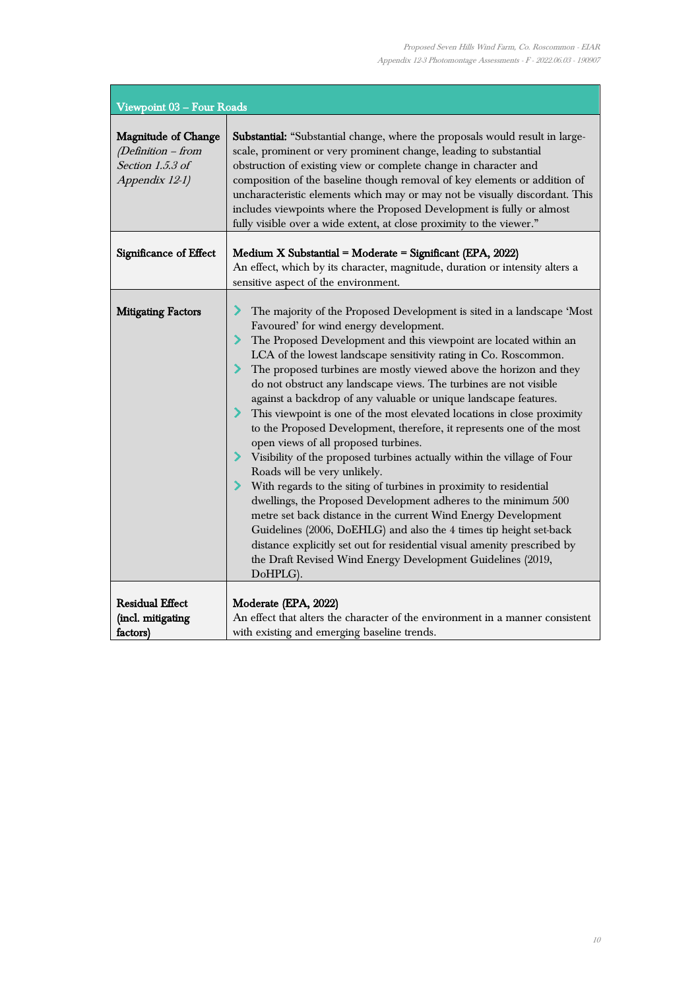ŧ

| Viewpoint 03 - Four Roads                                                              |                                                                                                                                                                                                                                                                                                                                                                                                                                                                                                                                                                                                                                                                                                                                                                                                                                                                                                                                                                                                                                                                                                                                                                                                                                 |  |  |
|----------------------------------------------------------------------------------------|---------------------------------------------------------------------------------------------------------------------------------------------------------------------------------------------------------------------------------------------------------------------------------------------------------------------------------------------------------------------------------------------------------------------------------------------------------------------------------------------------------------------------------------------------------------------------------------------------------------------------------------------------------------------------------------------------------------------------------------------------------------------------------------------------------------------------------------------------------------------------------------------------------------------------------------------------------------------------------------------------------------------------------------------------------------------------------------------------------------------------------------------------------------------------------------------------------------------------------|--|--|
| <b>Magnitude of Change</b><br>(Definition - from<br>Section 1.5.3 of<br>Appendix 12-1) | Substantial: "Substantial change, where the proposals would result in large-<br>scale, prominent or very prominent change, leading to substantial<br>obstruction of existing view or complete change in character and<br>composition of the baseline though removal of key elements or addition of<br>uncharacteristic elements which may or may not be visually discordant. This<br>includes viewpoints where the Proposed Development is fully or almost<br>fully visible over a wide extent, at close proximity to the viewer."                                                                                                                                                                                                                                                                                                                                                                                                                                                                                                                                                                                                                                                                                              |  |  |
| Significance of Effect                                                                 | Medium X Substantial = Moderate = Significant (EPA, 2022)<br>An effect, which by its character, magnitude, duration or intensity alters a<br>sensitive aspect of the environment.                                                                                                                                                                                                                                                                                                                                                                                                                                                                                                                                                                                                                                                                                                                                                                                                                                                                                                                                                                                                                                               |  |  |
| <b>Mitigating Factors</b>                                                              | ⋗<br>The majority of the Proposed Development is sited in a landscape 'Most<br>Favoured' for wind energy development.<br>The Proposed Development and this viewpoint are located within an<br>LCA of the lowest landscape sensitivity rating in Co. Roscommon.<br>The proposed turbines are mostly viewed above the horizon and they<br>do not obstruct any landscape views. The turbines are not visible<br>against a backdrop of any valuable or unique landscape features.<br>This viewpoint is one of the most elevated locations in close proximity<br>to the Proposed Development, therefore, it represents one of the most<br>open views of all proposed turbines.<br>> Visibility of the proposed turbines actually within the village of Four<br>Roads will be very unlikely.<br>> With regards to the siting of turbines in proximity to residential<br>dwellings, the Proposed Development adheres to the minimum 500<br>metre set back distance in the current Wind Energy Development<br>Guidelines (2006, DoEHLG) and also the 4 times tip height set-back<br>distance explicitly set out for residential visual amenity prescribed by<br>the Draft Revised Wind Energy Development Guidelines (2019,<br>DoHPLG). |  |  |
| <b>Residual Effect</b><br>(incl. mitigating<br>factors)                                | Moderate (EPA, 2022)<br>An effect that alters the character of the environment in a manner consistent<br>with existing and emerging baseline trends.                                                                                                                                                                                                                                                                                                                                                                                                                                                                                                                                                                                                                                                                                                                                                                                                                                                                                                                                                                                                                                                                            |  |  |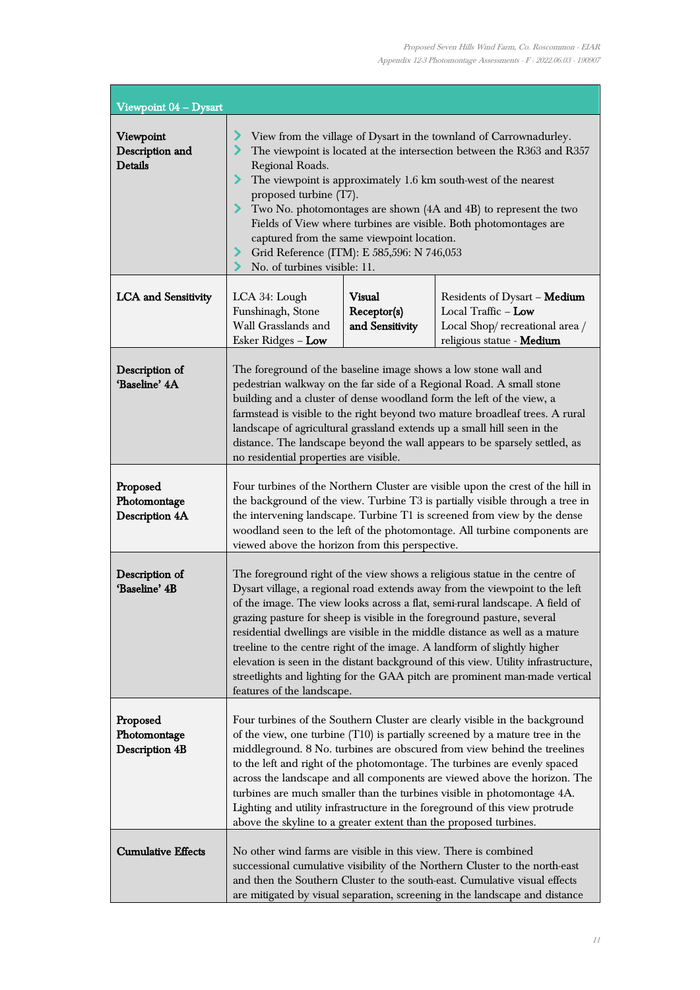| Viewpoint 04 - Dysart                             |                                                                                                                                                                                                                                                                                                                                                                                                                                                                                                                                                                                                                                                                                    |                                                 |                                                                                                                    |
|---------------------------------------------------|------------------------------------------------------------------------------------------------------------------------------------------------------------------------------------------------------------------------------------------------------------------------------------------------------------------------------------------------------------------------------------------------------------------------------------------------------------------------------------------------------------------------------------------------------------------------------------------------------------------------------------------------------------------------------------|-------------------------------------------------|--------------------------------------------------------------------------------------------------------------------|
| Viewpoint<br>Description and<br><b>Details</b>    | View from the village of Dysart in the townland of Carrownadurley.<br>∕<br>The viewpoint is located at the intersection between the R363 and R357<br>Regional Roads.<br>The viewpoint is approximately 1.6 km south-west of the nearest<br>⋗<br>proposed turbine (T7).<br>Two No. photomontages are shown (4A and 4B) to represent the two<br>⋗<br>Fields of View where turbines are visible. Both photomontages are<br>captured from the same viewpoint location.<br>Grid Reference (ITM): E 585,596: N 746,053<br>No. of turbines visible: 11.                                                                                                                                   |                                                 |                                                                                                                    |
| <b>LCA</b> and Sensitivity                        | LCA 34: Lough<br>Funshinagh, Stone<br>Wall Grasslands and<br>Esker Ridges - Low                                                                                                                                                                                                                                                                                                                                                                                                                                                                                                                                                                                                    | <b>Visual</b><br>Receptor(s)<br>and Sensitivity | Residents of Dysart - Medium<br>Local Traffic - Low<br>Local Shop/recreational area /<br>religious statue - Medium |
| Description of<br>'Baseline' 4A                   | The foreground of the baseline image shows a low stone wall and<br>pedestrian walkway on the far side of a Regional Road. A small stone<br>building and a cluster of dense woodland form the left of the view, a<br>farmstead is visible to the right beyond two mature broadleaf trees. A rural<br>landscape of agricultural grassland extends up a small hill seen in the<br>distance. The landscape beyond the wall appears to be sparsely settled, as<br>no residential properties are visible.                                                                                                                                                                                |                                                 |                                                                                                                    |
| Proposed<br>Photomontage<br><b>Description 4A</b> | Four turbines of the Northern Cluster are visible upon the crest of the hill in<br>the background of the view. Turbine T3 is partially visible through a tree in<br>the intervening landscape. Turbine T1 is screened from view by the dense<br>woodland seen to the left of the photomontage. All turbine components are<br>viewed above the horizon from this perspective.                                                                                                                                                                                                                                                                                                       |                                                 |                                                                                                                    |
| Description of<br>'Baseline' 4B                   | The foreground right of the view shows a religious statue in the centre of<br>Dysart village, a regional road extends away from the viewpoint to the left<br>of the image. The view looks across a flat, semi-rural landscape. A field of<br>grazing pasture for sheep is visible in the foreground pasture, several<br>residential dwellings are visible in the middle distance as well as a mature<br>treeline to the centre right of the image. A landform of slightly higher<br>elevation is seen in the distant background of this view. Utility infrastructure,<br>streetlights and lighting for the GAA pitch are prominent man-made vertical<br>features of the landscape. |                                                 |                                                                                                                    |
| Proposed<br>Photomontage<br><b>Description 4B</b> | Four turbines of the Southern Cluster are clearly visible in the background<br>of the view, one turbine $(T10)$ is partially screened by a mature tree in the<br>middleground. 8 No. turbines are obscured from view behind the treelines<br>to the left and right of the photomontage. The turbines are evenly spaced<br>across the landscape and all components are viewed above the horizon. The<br>turbines are much smaller than the turbines visible in photomontage 4A.<br>Lighting and utility infrastructure in the foreground of this view protrude<br>above the skyline to a greater extent than the proposed turbines.                                                 |                                                 |                                                                                                                    |
| <b>Cumulative Effects</b>                         | No other wind farms are visible in this view. There is combined<br>successional cumulative visibility of the Northern Cluster to the north-east<br>and then the Southern Cluster to the south-east. Cumulative visual effects<br>are mitigated by visual separation, screening in the landscape and distance                                                                                                                                                                                                                                                                                                                                                                       |                                                 |                                                                                                                    |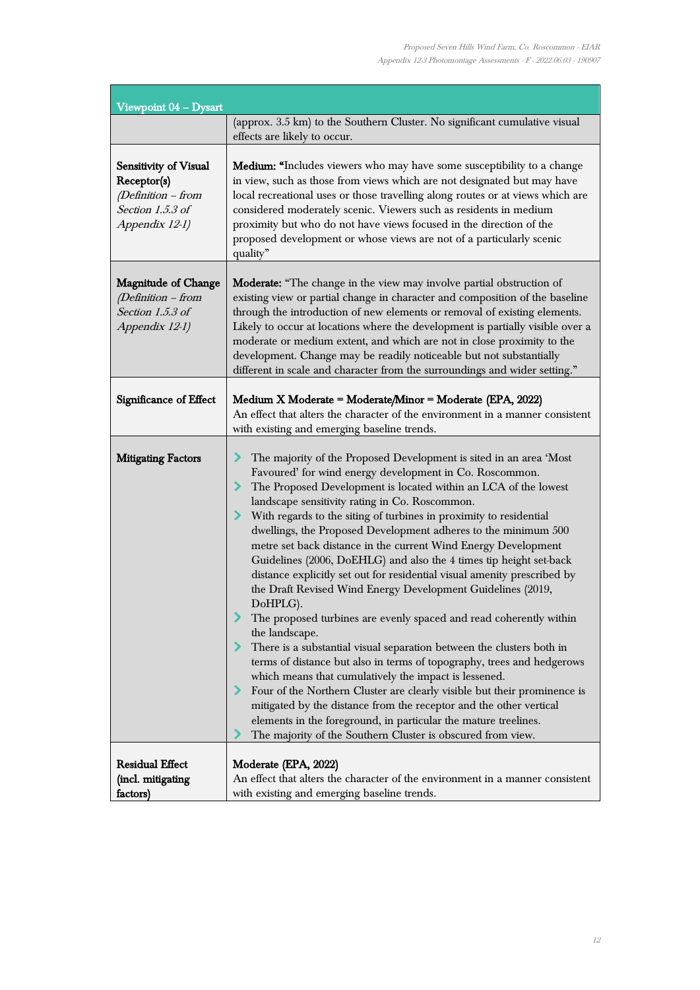| Viewpoint 04 - Dysart                                                                            |                                                                                                                                                                                                                                                                                                                                                                                                                                                                                                                                                                                                                                                                                                                                                                                                                                                                                                                                                                                                                                                                                                                                                                                                                                                                                     |
|--------------------------------------------------------------------------------------------------|-------------------------------------------------------------------------------------------------------------------------------------------------------------------------------------------------------------------------------------------------------------------------------------------------------------------------------------------------------------------------------------------------------------------------------------------------------------------------------------------------------------------------------------------------------------------------------------------------------------------------------------------------------------------------------------------------------------------------------------------------------------------------------------------------------------------------------------------------------------------------------------------------------------------------------------------------------------------------------------------------------------------------------------------------------------------------------------------------------------------------------------------------------------------------------------------------------------------------------------------------------------------------------------|
|                                                                                                  | (approx. 3.5 km) to the Southern Cluster. No significant cumulative visual<br>effects are likely to occur.                                                                                                                                                                                                                                                                                                                                                                                                                                                                                                                                                                                                                                                                                                                                                                                                                                                                                                                                                                                                                                                                                                                                                                          |
| Sensitivity of Visual<br>Receptor(s)<br>(Definition - from<br>Section 1.5.3 of<br>Appendix 12-1) | <b>Medium:</b> "Includes viewers who may have some susceptibility to a change<br>in view, such as those from views which are not designated but may have<br>local recreational uses or those travelling along routes or at views which are<br>considered moderately scenic. Viewers such as residents in medium<br>proximity but who do not have views focused in the direction of the<br>proposed development or whose views are not of a particularly scenic<br>quality"                                                                                                                                                                                                                                                                                                                                                                                                                                                                                                                                                                                                                                                                                                                                                                                                          |
| <b>Magnitude of Change</b><br>(Definition - from<br>Section 1.5.3 of<br>Appendix 12-1)           | Moderate: "The change in the view may involve partial obstruction of<br>existing view or partial change in character and composition of the baseline<br>through the introduction of new elements or removal of existing elements.<br>Likely to occur at locations where the development is partially visible over a<br>moderate or medium extent, and which are not in close proximity to the<br>development. Change may be readily noticeable but not substantially<br>different in scale and character from the surroundings and wider setting."                                                                                                                                                                                                                                                                                                                                                                                                                                                                                                                                                                                                                                                                                                                                  |
| Significance of Effect                                                                           | Medium X Moderate = Moderate/Minor = Moderate (EPA, 2022)<br>An effect that alters the character of the environment in a manner consistent<br>with existing and emerging baseline trends.                                                                                                                                                                                                                                                                                                                                                                                                                                                                                                                                                                                                                                                                                                                                                                                                                                                                                                                                                                                                                                                                                           |
| <b>Mitigating Factors</b>                                                                        | The majority of the Proposed Development is sited in an area 'Most<br>Favoured' for wind energy development in Co. Roscommon.<br>The Proposed Development is located within an LCA of the lowest<br>landscape sensitivity rating in Co. Roscommon.<br>> With regards to the siting of turbines in proximity to residential<br>dwellings, the Proposed Development adheres to the minimum 500<br>metre set back distance in the current Wind Energy Development<br>Guidelines (2006, DoEHLG) and also the 4 times tip height set-back<br>distance explicitly set out for residential visual amenity prescribed by<br>the Draft Revised Wind Energy Development Guidelines (2019,<br>DoHPLG).<br>The proposed turbines are evenly spaced and read coherently within<br>the landscape.<br>There is a substantial visual separation between the clusters both in<br>terms of distance but also in terms of topography, trees and hedgerows<br>which means that cumulatively the impact is lessened.<br>Four of the Northern Cluster are clearly visible but their prominence is<br>mitigated by the distance from the receptor and the other vertical<br>elements in the foreground, in particular the mature treelines.<br>The majority of the Southern Cluster is obscured from view. |
| <b>Residual Effect</b><br>(incl. mitigating<br>factors)                                          | Moderate (EPA, 2022)<br>An effect that alters the character of the environment in a manner consistent<br>with existing and emerging baseline trends.                                                                                                                                                                                                                                                                                                                                                                                                                                                                                                                                                                                                                                                                                                                                                                                                                                                                                                                                                                                                                                                                                                                                |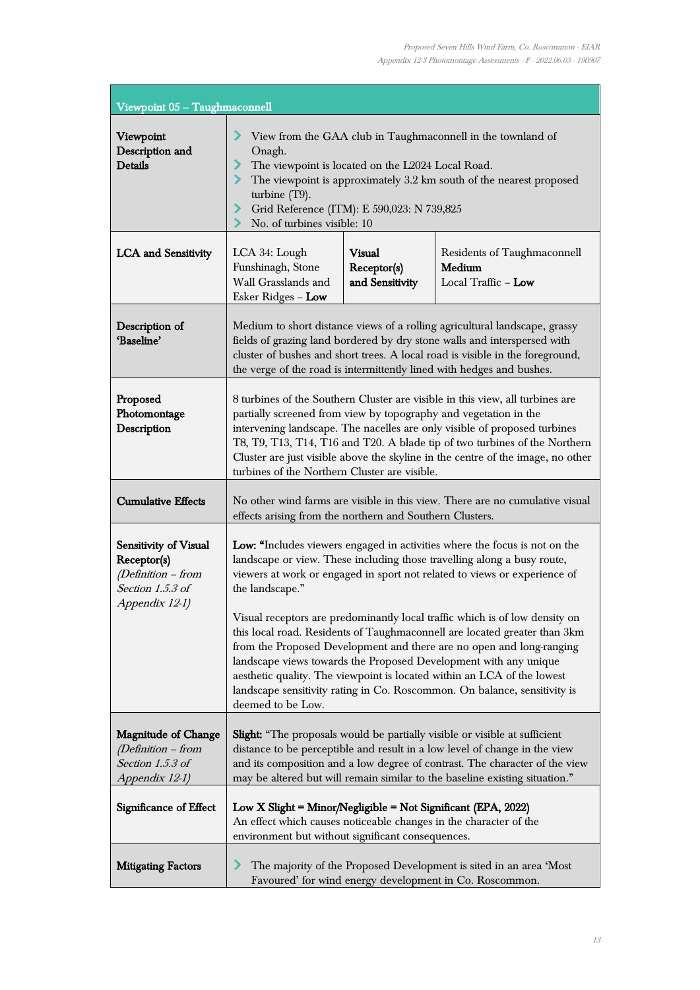ı,

| Viewpoint 05 - Taughmaconnell                                                                    |                                                                                                                                                                                                                                                                                                                                                                                                                                                                                                                                                                                                                                                                                                                                            |                                                 |                                                                                                                               |
|--------------------------------------------------------------------------------------------------|--------------------------------------------------------------------------------------------------------------------------------------------------------------------------------------------------------------------------------------------------------------------------------------------------------------------------------------------------------------------------------------------------------------------------------------------------------------------------------------------------------------------------------------------------------------------------------------------------------------------------------------------------------------------------------------------------------------------------------------------|-------------------------------------------------|-------------------------------------------------------------------------------------------------------------------------------|
| Viewpoint<br>Description and<br><b>Details</b>                                                   | View from the GAA club in Taughmaconnell in the townland of<br>⋗<br>Onagh.<br>⋗<br>The viewpoint is located on the L2024 Local Road.<br>⋗<br>The viewpoint is approximately 3.2 km south of the nearest proposed<br>turbine (T9).<br>Grid Reference (ITM): E 590,023: N 739,825<br>⋗<br>No. of turbines visible: 10                                                                                                                                                                                                                                                                                                                                                                                                                        |                                                 |                                                                                                                               |
| <b>LCA</b> and Sensitivity                                                                       | LCA 34: Lough<br>Funshinagh, Stone<br>Wall Grasslands and<br>Esker Ridges - Low                                                                                                                                                                                                                                                                                                                                                                                                                                                                                                                                                                                                                                                            | <b>Visual</b><br>Receptor(s)<br>and Sensitivity | Residents of Taughmaconnell<br>Medium<br>Local Traffic - Low                                                                  |
| Description of<br>'Baseline'                                                                     | Medium to short distance views of a rolling agricultural landscape, grassy<br>fields of grazing land bordered by dry stone walls and interspersed with<br>cluster of bushes and short trees. A local road is visible in the foreground,<br>the verge of the road is intermittently lined with hedges and bushes.                                                                                                                                                                                                                                                                                                                                                                                                                           |                                                 |                                                                                                                               |
| Proposed<br>Photomontage<br>Description                                                          | 8 turbines of the Southern Cluster are visible in this view, all turbines are<br>partially screened from view by topography and vegetation in the<br>intervening landscape. The nacelles are only visible of proposed turbines<br>T8, T9, T13, T14, T16 and T20. A blade tip of two turbines of the Northern<br>Cluster are just visible above the skyline in the centre of the image, no other<br>turbines of the Northern Cluster are visible.                                                                                                                                                                                                                                                                                           |                                                 |                                                                                                                               |
| <b>Cumulative Effects</b>                                                                        | No other wind farms are visible in this view. There are no cumulative visual<br>effects arising from the northern and Southern Clusters.                                                                                                                                                                                                                                                                                                                                                                                                                                                                                                                                                                                                   |                                                 |                                                                                                                               |
| Sensitivity of Visual<br>Receptor(s)<br>(Definition - from<br>Section 1.5.3 of<br>Appendix 12-1) | Low: "Includes viewers engaged in activities where the focus is not on the<br>landscape or view. These including those travelling along a busy route,<br>viewers at work or engaged in sport not related to views or experience of<br>the landscape."<br>Visual receptors are predominantly local traffic which is of low density on<br>this local road. Residents of Taughmaconnell are located greater than 3km<br>from the Proposed Development and there are no open and long-ranging<br>landscape views towards the Proposed Development with any unique<br>aesthetic quality. The viewpoint is located within an LCA of the lowest<br>landscape sensitivity rating in Co. Roscommon. On balance, sensitivity is<br>deemed to be Low. |                                                 |                                                                                                                               |
| <b>Magnitude of Change</b><br>(Definition – from<br>Section 1.5.3 of<br>Appendix 12-1)           | Slight: "The proposals would be partially visible or visible at sufficient<br>distance to be perceptible and result in a low level of change in the view<br>and its composition and a low degree of contrast. The character of the view<br>may be altered but will remain similar to the baseline existing situation."                                                                                                                                                                                                                                                                                                                                                                                                                     |                                                 |                                                                                                                               |
| Significance of Effect                                                                           | Low X Slight = Minor/Negligible = Not Significant (EPA, 2022)<br>An effect which causes noticeable changes in the character of the<br>environment but without significant consequences.                                                                                                                                                                                                                                                                                                                                                                                                                                                                                                                                                    |                                                 |                                                                                                                               |
| <b>Mitigating Factors</b>                                                                        |                                                                                                                                                                                                                                                                                                                                                                                                                                                                                                                                                                                                                                                                                                                                            |                                                 | The majority of the Proposed Development is sited in an area 'Most<br>Favoured' for wind energy development in Co. Roscommon. |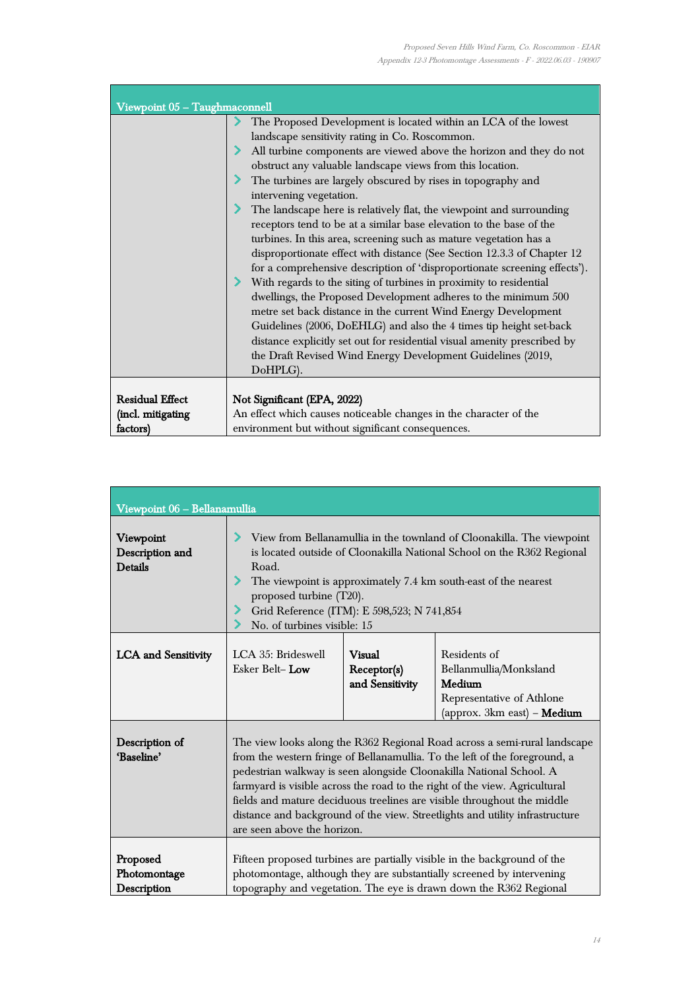t

| Viewpoint 05 - Taughmaconnell |                                                                           |  |  |
|-------------------------------|---------------------------------------------------------------------------|--|--|
|                               | The Proposed Development is located within an LCA of the lowest           |  |  |
|                               | landscape sensitivity rating in Co. Roscommon.                            |  |  |
|                               | All turbine components are viewed above the horizon and they do not       |  |  |
|                               | obstruct any valuable landscape views from this location.                 |  |  |
|                               | The turbines are largely obscured by rises in topography and              |  |  |
|                               | intervening vegetation.                                                   |  |  |
|                               | The landscape here is relatively flat, the viewpoint and surrounding      |  |  |
|                               | receptors tend to be at a similar base elevation to the base of the       |  |  |
|                               | turbines. In this area, screening such as mature vegetation has a         |  |  |
|                               | disproportionate effect with distance (See Section 12.3.3 of Chapter 12   |  |  |
|                               | for a comprehensive description of 'disproportionate screening effects'). |  |  |
|                               | With regards to the siting of turbines in proximity to residential        |  |  |
|                               | dwellings, the Proposed Development adheres to the minimum 500            |  |  |
|                               | metre set back distance in the current Wind Energy Development            |  |  |
|                               | Guidelines (2006, DoEHLG) and also the 4 times tip height set-back        |  |  |
|                               | distance explicitly set out for residential visual amenity prescribed by  |  |  |
|                               | the Draft Revised Wind Energy Development Guidelines (2019,               |  |  |
|                               | DoHPLG).                                                                  |  |  |
|                               |                                                                           |  |  |
| <b>Residual Effect</b>        | Not Significant (EPA, 2022)                                               |  |  |
| (incl. mitigating             | An effect which causes noticeable changes in the character of the         |  |  |
| factors)                      | environment but without significant consequences.                         |  |  |

| Viewpoint 06 - Bellanamullia                   |                                                                                                                                                                                                                                                                                                                                                                                                                                                                                                        |                                          |                                                                                                              |
|------------------------------------------------|--------------------------------------------------------------------------------------------------------------------------------------------------------------------------------------------------------------------------------------------------------------------------------------------------------------------------------------------------------------------------------------------------------------------------------------------------------------------------------------------------------|------------------------------------------|--------------------------------------------------------------------------------------------------------------|
| Viewpoint<br>Description and<br><b>Details</b> | View from Bellanamullia in the townland of Cloonakilla. The viewpoint<br>is located outside of Cloonakilla National School on the R362 Regional<br>Road.<br>The viewpoint is approximately 7.4 km south-east of the nearest<br>proposed turbine (T20).<br>Grid Reference (ITM): E 598,523; N 741,854<br>No. of turbines visible: 15                                                                                                                                                                    |                                          |                                                                                                              |
| <b>LCA</b> and Sensitivity                     | LCA 35: Brideswell<br>Esker Belt-Low                                                                                                                                                                                                                                                                                                                                                                                                                                                                   | Visual<br>Receptor(s)<br>and Sensitivity | Residents of<br>Bellanmullia/Monksland<br>Medium<br>Representative of Athlone<br>(approx. 3km east) - Medium |
| Description of<br>'Baseline'                   | The view looks along the R362 Regional Road across a semi-rural landscape<br>from the western fringe of Bellanamullia. To the left of the foreground, a<br>pedestrian walkway is seen alongside Cloonakilla National School. A<br>farmyard is visible across the road to the right of the view. Agricultural<br>fields and mature deciduous treelines are visible throughout the middle<br>distance and background of the view. Streetlights and utility infrastructure<br>are seen above the horizon. |                                          |                                                                                                              |
| Proposed<br>Photomontage<br>Description        | Fifteen proposed turbines are partially visible in the background of the<br>photomontage, although they are substantially screened by intervening<br>topography and vegetation. The eye is drawn down the R362 Regional                                                                                                                                                                                                                                                                                |                                          |                                                                                                              |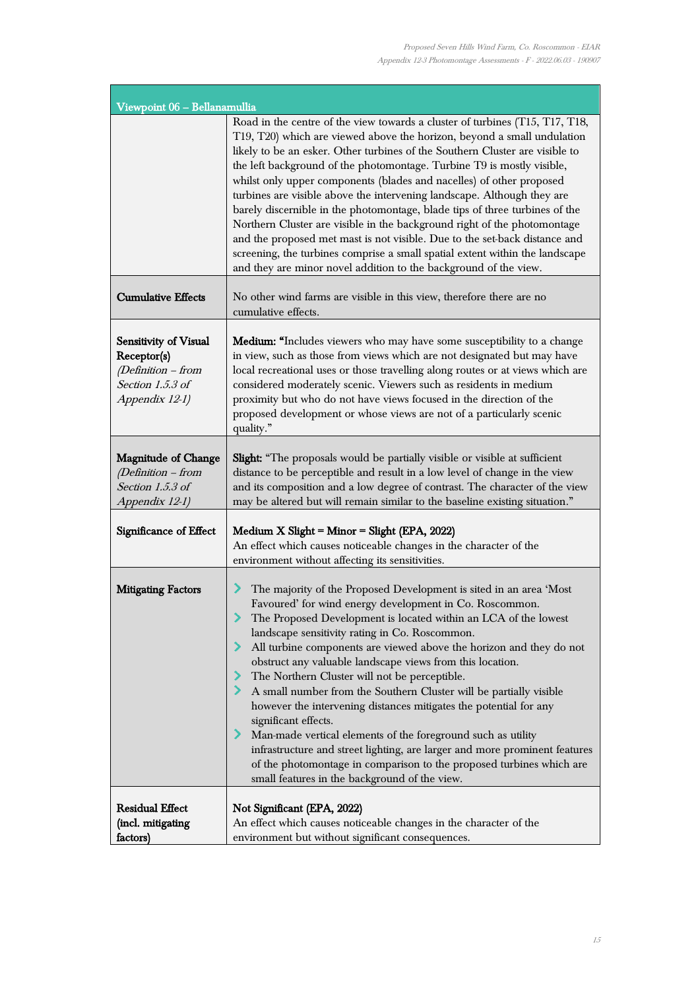| Viewpoint 06 - Bellanamullia                                                                     |                                                                                                                                                                                                                                                                                                                                                                                                                                                                                                                                                                                                                                                                                                                                                                                                                                                                                                                 |
|--------------------------------------------------------------------------------------------------|-----------------------------------------------------------------------------------------------------------------------------------------------------------------------------------------------------------------------------------------------------------------------------------------------------------------------------------------------------------------------------------------------------------------------------------------------------------------------------------------------------------------------------------------------------------------------------------------------------------------------------------------------------------------------------------------------------------------------------------------------------------------------------------------------------------------------------------------------------------------------------------------------------------------|
|                                                                                                  | Road in the centre of the view towards a cluster of turbines (T15, T17, T18,<br>T19, T20) which are viewed above the horizon, beyond a small undulation<br>likely to be an esker. Other turbines of the Southern Cluster are visible to<br>the left background of the photomontage. Turbine T9 is mostly visible,<br>whilst only upper components (blades and nacelles) of other proposed<br>turbines are visible above the intervening landscape. Although they are<br>barely discernible in the photomontage, blade tips of three turbines of the<br>Northern Cluster are visible in the background right of the photomontage<br>and the proposed met mast is not visible. Due to the set-back distance and<br>screening, the turbines comprise a small spatial extent within the landscape<br>and they are minor novel addition to the background of the view.                                               |
| <b>Cumulative Effects</b>                                                                        | No other wind farms are visible in this view, therefore there are no<br>cumulative effects.                                                                                                                                                                                                                                                                                                                                                                                                                                                                                                                                                                                                                                                                                                                                                                                                                     |
| Sensitivity of Visual<br>Receptor(s)<br>(Definition - from<br>Section 1.5.3 of<br>Appendix 12-1) | <b>Medium:</b> "Includes viewers who may have some susceptibility to a change<br>in view, such as those from views which are not designated but may have<br>local recreational uses or those travelling along routes or at views which are<br>considered moderately scenic. Viewers such as residents in medium<br>proximity but who do not have views focused in the direction of the<br>proposed development or whose views are not of a particularly scenic<br>quality."                                                                                                                                                                                                                                                                                                                                                                                                                                     |
| <b>Magnitude of Change</b><br>$(Definition - from$<br>Section 1.5.3 of<br>Appendix 12-1)         | <b>Slight:</b> "The proposals would be partially visible or visible at sufficient<br>distance to be perceptible and result in a low level of change in the view<br>and its composition and a low degree of contrast. The character of the view<br>may be altered but will remain similar to the baseline existing situation."                                                                                                                                                                                                                                                                                                                                                                                                                                                                                                                                                                                   |
| Significance of Effect                                                                           | Medium X Slight = Minor = Slight (EPA, 2022)<br>An effect which causes noticeable changes in the character of the<br>environment without affecting its sensitivities.                                                                                                                                                                                                                                                                                                                                                                                                                                                                                                                                                                                                                                                                                                                                           |
| <b>Mitigating Factors</b>                                                                        | The majority of the Proposed Development is sited in an area 'Most<br>⋗<br>Favoured' for wind energy development in Co. Roscommon.<br>The Proposed Development is located within an LCA of the lowest<br>$\blacktriangleright$<br>landscape sensitivity rating in Co. Roscommon.<br>All turbine components are viewed above the horizon and they do not<br>obstruct any valuable landscape views from this location.<br>The Northern Cluster will not be perceptible.<br>A small number from the Southern Cluster will be partially visible<br>however the intervening distances mitigates the potential for any<br>significant effects.<br>Man-made vertical elements of the foreground such as utility<br>infrastructure and street lighting, are larger and more prominent features<br>of the photomontage in comparison to the proposed turbines which are<br>small features in the background of the view. |
| <b>Residual Effect</b><br>(incl. mitigating<br>factors)                                          | Not Significant (EPA, 2022)<br>An effect which causes noticeable changes in the character of the<br>environment but without significant consequences.                                                                                                                                                                                                                                                                                                                                                                                                                                                                                                                                                                                                                                                                                                                                                           |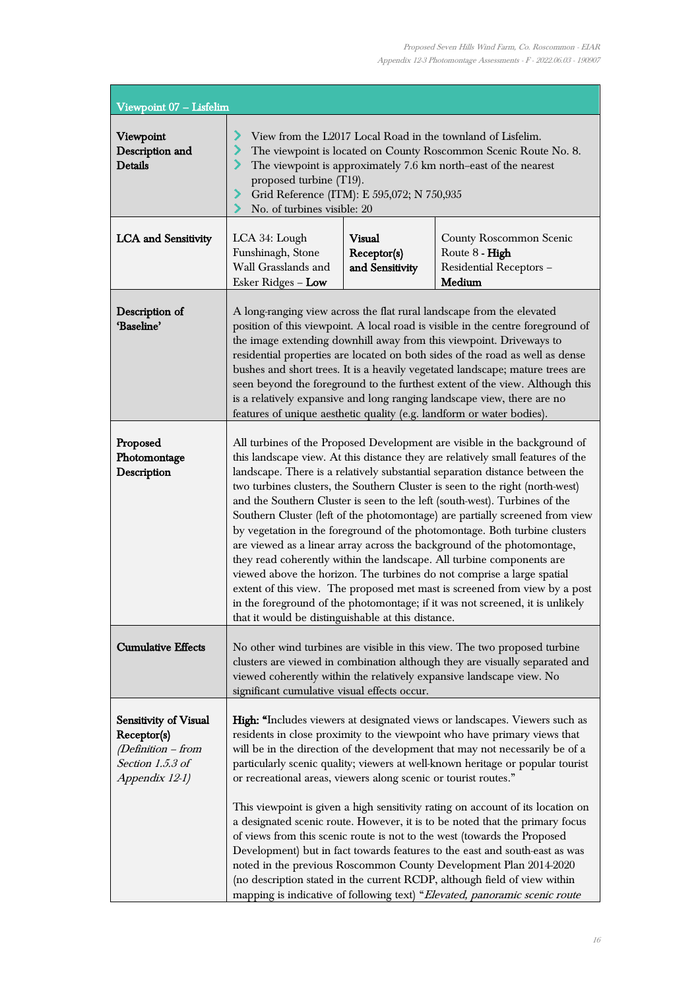ı,

| Viewpoint 07 - Lisfelim                                                                          |                                                                                                                                                                                                                                                                                                                                                                                                                                                                                                                                                                                                                                                                                                                                                                                                                                                                                                                                                                                                                              |                                          |                                                                                |
|--------------------------------------------------------------------------------------------------|------------------------------------------------------------------------------------------------------------------------------------------------------------------------------------------------------------------------------------------------------------------------------------------------------------------------------------------------------------------------------------------------------------------------------------------------------------------------------------------------------------------------------------------------------------------------------------------------------------------------------------------------------------------------------------------------------------------------------------------------------------------------------------------------------------------------------------------------------------------------------------------------------------------------------------------------------------------------------------------------------------------------------|------------------------------------------|--------------------------------------------------------------------------------|
| Viewpoint<br>Description and<br><b>Details</b>                                                   | ⋗<br>View from the L2017 Local Road in the townland of Lisfelim.<br>The viewpoint is located on County Roscommon Scenic Route No. 8.<br>⋗<br>⋗<br>The viewpoint is approximately 7.6 km north-east of the nearest<br>proposed turbine (T19).<br>Grid Reference (ITM): E 595,072; N 750,935<br>⋗<br>No. of turbines visible: 20                                                                                                                                                                                                                                                                                                                                                                                                                                                                                                                                                                                                                                                                                               |                                          |                                                                                |
| <b>LCA</b> and Sensitivity                                                                       | LCA 34: Lough<br>Funshinagh, Stone<br>Wall Grasslands and<br>Esker Ridges - Low                                                                                                                                                                                                                                                                                                                                                                                                                                                                                                                                                                                                                                                                                                                                                                                                                                                                                                                                              | Visual<br>Receptor(s)<br>and Sensitivity | County Roscommon Scenic<br>Route 8 - High<br>Residential Receptors -<br>Medium |
| Description of<br>'Baseline'                                                                     | A long-ranging view across the flat rural landscape from the elevated<br>position of this viewpoint. A local road is visible in the centre foreground of<br>the image extending downhill away from this viewpoint. Driveways to<br>residential properties are located on both sides of the road as well as dense<br>bushes and short trees. It is a heavily vegetated landscape; mature trees are<br>seen beyond the foreground to the furthest extent of the view. Although this<br>is a relatively expansive and long ranging landscape view, there are no<br>features of unique aesthetic quality (e.g. landform or water bodies).                                                                                                                                                                                                                                                                                                                                                                                        |                                          |                                                                                |
| Proposed<br>Photomontage<br>Description                                                          | All turbines of the Proposed Development are visible in the background of<br>this landscape view. At this distance they are relatively small features of the<br>landscape. There is a relatively substantial separation distance between the<br>two turbines clusters, the Southern Cluster is seen to the right (north-west)<br>and the Southern Cluster is seen to the left (south-west). Turbines of the<br>Southern Cluster (left of the photomontage) are partially screened from view<br>by vegetation in the foreground of the photomontage. Both turbine clusters<br>are viewed as a linear array across the background of the photomontage,<br>they read coherently within the landscape. All turbine components are<br>viewed above the horizon. The turbines do not comprise a large spatial<br>extent of this view. The proposed met mast is screened from view by a post<br>in the foreground of the photomontage; if it was not screened, it is unlikely<br>that it would be distinguishable at this distance. |                                          |                                                                                |
| <b>Cumulative Effects</b>                                                                        | No other wind turbines are visible in this view. The two proposed turbine<br>clusters are viewed in combination although they are visually separated and<br>viewed coherently within the relatively expansive landscape view. No<br>significant cumulative visual effects occur.                                                                                                                                                                                                                                                                                                                                                                                                                                                                                                                                                                                                                                                                                                                                             |                                          |                                                                                |
| Sensitivity of Visual<br>Receptor(s)<br>(Definition - from<br>Section 1.5.3 of<br>Appendix 12-1) | High: "Includes viewers at designated views or landscapes. Viewers such as<br>residents in close proximity to the viewpoint who have primary views that<br>will be in the direction of the development that may not necessarily be of a<br>particularly scenic quality; viewers at well-known heritage or popular tourist<br>or recreational areas, viewers along scenic or tourist routes."<br>This viewpoint is given a high sensitivity rating on account of its location on<br>a designated scenic route. However, it is to be noted that the primary focus<br>of views from this scenic route is not to the west (towards the Proposed<br>Development) but in fact towards features to the east and south-east as was<br>noted in the previous Roscommon County Development Plan 2014-2020<br>(no description stated in the current RCDP, although field of view within<br>mapping is indicative of following text) "Elevated, panoramic scenic route                                                                   |                                          |                                                                                |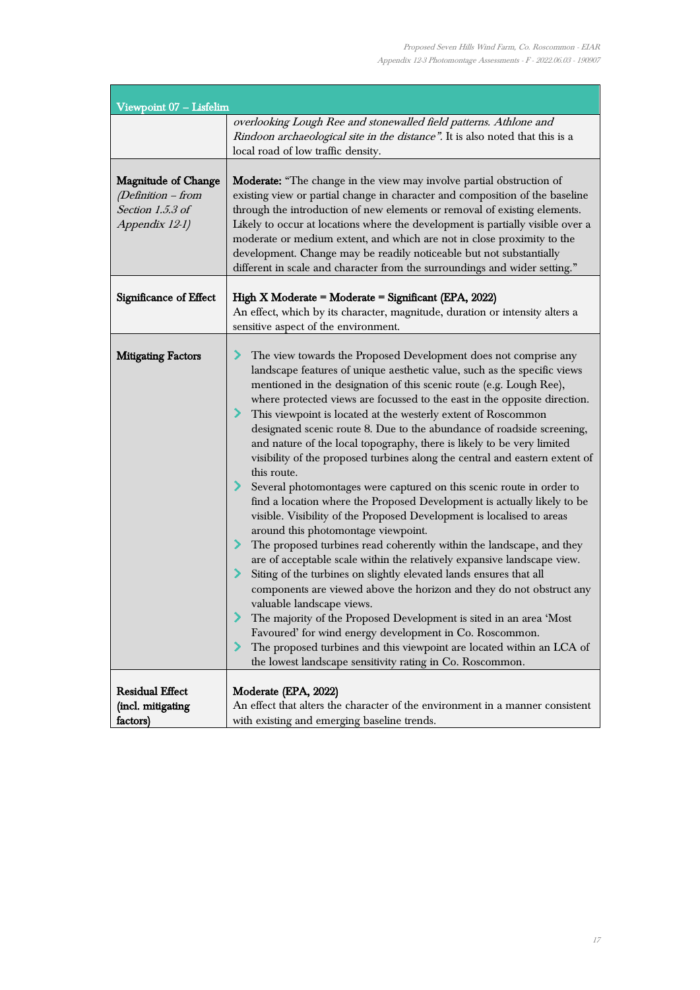| Viewpoint 07 - Lisfelim                                                                |                                                                                                                                                                                                                                                                                                                                                                                                                                                                                                                                                                                                                                                                                                                                                                                                                                                                                                                                                                                                                                                                                                                                                                                                                                                                                                                                                                                                                                                                                                                       |
|----------------------------------------------------------------------------------------|-----------------------------------------------------------------------------------------------------------------------------------------------------------------------------------------------------------------------------------------------------------------------------------------------------------------------------------------------------------------------------------------------------------------------------------------------------------------------------------------------------------------------------------------------------------------------------------------------------------------------------------------------------------------------------------------------------------------------------------------------------------------------------------------------------------------------------------------------------------------------------------------------------------------------------------------------------------------------------------------------------------------------------------------------------------------------------------------------------------------------------------------------------------------------------------------------------------------------------------------------------------------------------------------------------------------------------------------------------------------------------------------------------------------------------------------------------------------------------------------------------------------------|
|                                                                                        | overlooking Lough Ree and stonewalled field patterns. Athlone and<br>Rindoon archaeological site in the distance". It is also noted that this is a<br>local road of low traffic density.                                                                                                                                                                                                                                                                                                                                                                                                                                                                                                                                                                                                                                                                                                                                                                                                                                                                                                                                                                                                                                                                                                                                                                                                                                                                                                                              |
| <b>Magnitude of Change</b><br>(Definition - from<br>Section 1.5.3 of<br>Appendix 12-1) | <b>Moderate:</b> "The change in the view may involve partial obstruction of<br>existing view or partial change in character and composition of the baseline<br>through the introduction of new elements or removal of existing elements.<br>Likely to occur at locations where the development is partially visible over a<br>moderate or medium extent, and which are not in close proximity to the<br>development. Change may be readily noticeable but not substantially<br>different in scale and character from the surroundings and wider setting."                                                                                                                                                                                                                                                                                                                                                                                                                                                                                                                                                                                                                                                                                                                                                                                                                                                                                                                                                             |
| Significance of Effect                                                                 | High X Moderate = Moderate = Significant (EPA, 2022)<br>An effect, which by its character, magnitude, duration or intensity alters a<br>sensitive aspect of the environment.                                                                                                                                                                                                                                                                                                                                                                                                                                                                                                                                                                                                                                                                                                                                                                                                                                                                                                                                                                                                                                                                                                                                                                                                                                                                                                                                          |
| <b>Mitigating Factors</b>                                                              | The view towards the Proposed Development does not comprise any<br>⋗<br>landscape features of unique aesthetic value, such as the specific views<br>mentioned in the designation of this scenic route (e.g. Lough Ree),<br>where protected views are focussed to the east in the opposite direction.<br>> This viewpoint is located at the westerly extent of Roscommon<br>designated scenic route 8. Due to the abundance of roadside screening,<br>and nature of the local topography, there is likely to be very limited<br>visibility of the proposed turbines along the central and eastern extent of<br>this route.<br>≻<br>Several photomontages were captured on this scenic route in order to<br>find a location where the Proposed Development is actually likely to be<br>visible. Visibility of the Proposed Development is localised to areas<br>around this photomontage viewpoint.<br>⋗<br>The proposed turbines read coherently within the landscape, and they<br>are of acceptable scale within the relatively expansive landscape view.<br>≻<br>Siting of the turbines on slightly elevated lands ensures that all<br>components are viewed above the horizon and they do not obstruct any<br>valuable landscape views.<br>The majority of the Proposed Development is sited in an area 'Most<br>Favoured' for wind energy development in Co. Roscommon.<br>≻<br>The proposed turbines and this viewpoint are located within an LCA of<br>the lowest landscape sensitivity rating in Co. Roscommon. |
| <b>Residual Effect</b><br>(incl. mitigating<br>factors)                                | Moderate (EPA, 2022)<br>An effect that alters the character of the environment in a manner consistent<br>with existing and emerging baseline trends.                                                                                                                                                                                                                                                                                                                                                                                                                                                                                                                                                                                                                                                                                                                                                                                                                                                                                                                                                                                                                                                                                                                                                                                                                                                                                                                                                                  |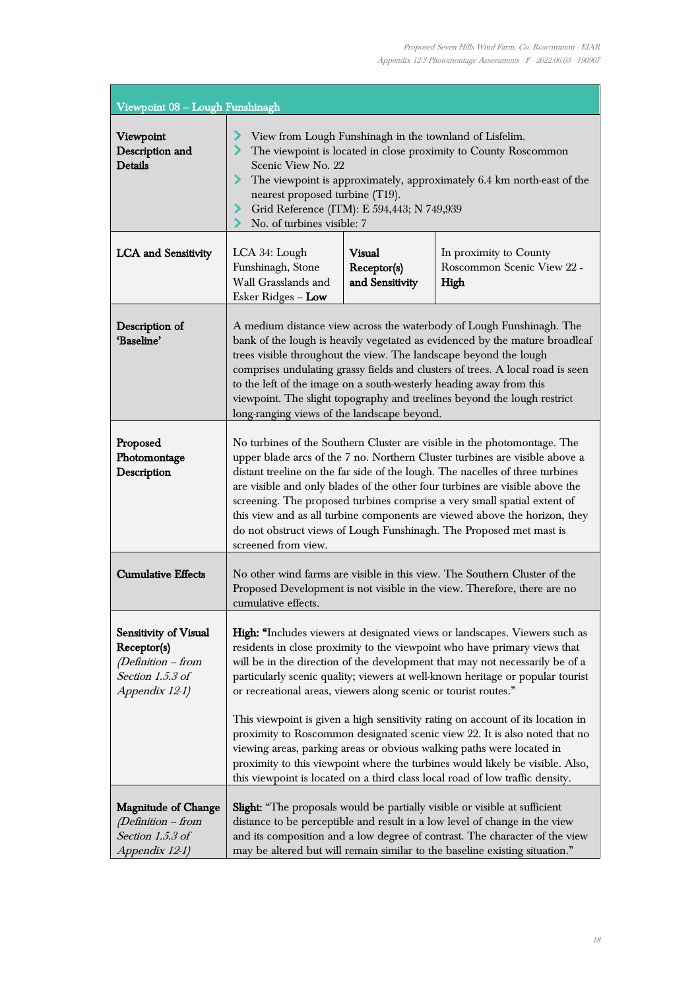ı,

| Viewpoint 08 - Lough Funshinagh                                                                    |                                                                                                                                                                                                                                                                                                                                                                                                                                                                                                                                                                                                                                                                                                                                                                                                          |                                                 |                                                              |
|----------------------------------------------------------------------------------------------------|----------------------------------------------------------------------------------------------------------------------------------------------------------------------------------------------------------------------------------------------------------------------------------------------------------------------------------------------------------------------------------------------------------------------------------------------------------------------------------------------------------------------------------------------------------------------------------------------------------------------------------------------------------------------------------------------------------------------------------------------------------------------------------------------------------|-------------------------------------------------|--------------------------------------------------------------|
| Viewpoint<br>Description and<br><b>Details</b>                                                     | ⋗<br>View from Lough Funshinagh in the townland of Lisfelim.<br>The viewpoint is located in close proximity to County Roscommon<br>Scenic View No. 22<br>The viewpoint is approximately, approximately 6.4 km north-east of the<br>nearest proposed turbine (T19).<br>Grid Reference (ITM): E 594,443; N 749,939<br>No. of turbines visible: 7                                                                                                                                                                                                                                                                                                                                                                                                                                                           |                                                 |                                                              |
| <b>LCA</b> and Sensitivity                                                                         | LCA 34: Lough<br>Funshinagh, Stone<br>Wall Grasslands and<br>Esker Ridges - Low                                                                                                                                                                                                                                                                                                                                                                                                                                                                                                                                                                                                                                                                                                                          | <b>Visual</b><br>Receptor(s)<br>and Sensitivity | In proximity to County<br>Roscommon Scenic View 22 -<br>High |
| Description of<br>'Baseline'                                                                       | A medium distance view across the waterbody of Lough Funshinagh. The<br>bank of the lough is heavily vegetated as evidenced by the mature broadleaf<br>trees visible throughout the view. The landscape beyond the lough<br>comprises undulating grassy fields and clusters of trees. A local road is seen<br>to the left of the image on a south-westerly heading away from this<br>viewpoint. The slight topography and treelines beyond the lough restrict<br>long-ranging views of the landscape beyond.                                                                                                                                                                                                                                                                                             |                                                 |                                                              |
| Proposed<br>Photomontage<br>Description                                                            | No turbines of the Southern Cluster are visible in the photomontage. The<br>upper blade arcs of the 7 no. Northern Cluster turbines are visible above a<br>distant treeline on the far side of the lough. The nacelles of three turbines<br>are visible and only blades of the other four turbines are visible above the<br>screening. The proposed turbines comprise a very small spatial extent of<br>this view and as all turbine components are viewed above the horizon, they<br>do not obstruct views of Lough Funshinagh. The Proposed met mast is<br>screened from view.                                                                                                                                                                                                                         |                                                 |                                                              |
| <b>Cumulative Effects</b>                                                                          | No other wind farms are visible in this view. The Southern Cluster of the<br>Proposed Development is not visible in the view. Therefore, there are no<br>cumulative effects.                                                                                                                                                                                                                                                                                                                                                                                                                                                                                                                                                                                                                             |                                                 |                                                              |
| Sensitivity of Visual<br>Receptor(s)<br>$(Definition - from$<br>Section 1.5.3 of<br>Appendix 12-1) | High: "Includes viewers at designated views or landscapes. Viewers such as<br>residents in close proximity to the viewpoint who have primary views that<br>will be in the direction of the development that may not necessarily be of a<br>particularly scenic quality; viewers at well-known heritage or popular tourist<br>or recreational areas, viewers along scenic or tourist routes."<br>This viewpoint is given a high sensitivity rating on account of its location in<br>proximity to Roscommon designated scenic view 22. It is also noted that no<br>viewing areas, parking areas or obvious walking paths were located in<br>proximity to this viewpoint where the turbines would likely be visible. Also,<br>this viewpoint is located on a third class local road of low traffic density. |                                                 |                                                              |
| <b>Magnitude of Change</b><br>$(Definition - from$<br>Section 1.5.3 of<br>Appendix 12-1)           | <b>Slight:</b> "The proposals would be partially visible or visible at sufficient<br>distance to be perceptible and result in a low level of change in the view<br>and its composition and a low degree of contrast. The character of the view<br>may be altered but will remain similar to the baseline existing situation."                                                                                                                                                                                                                                                                                                                                                                                                                                                                            |                                                 |                                                              |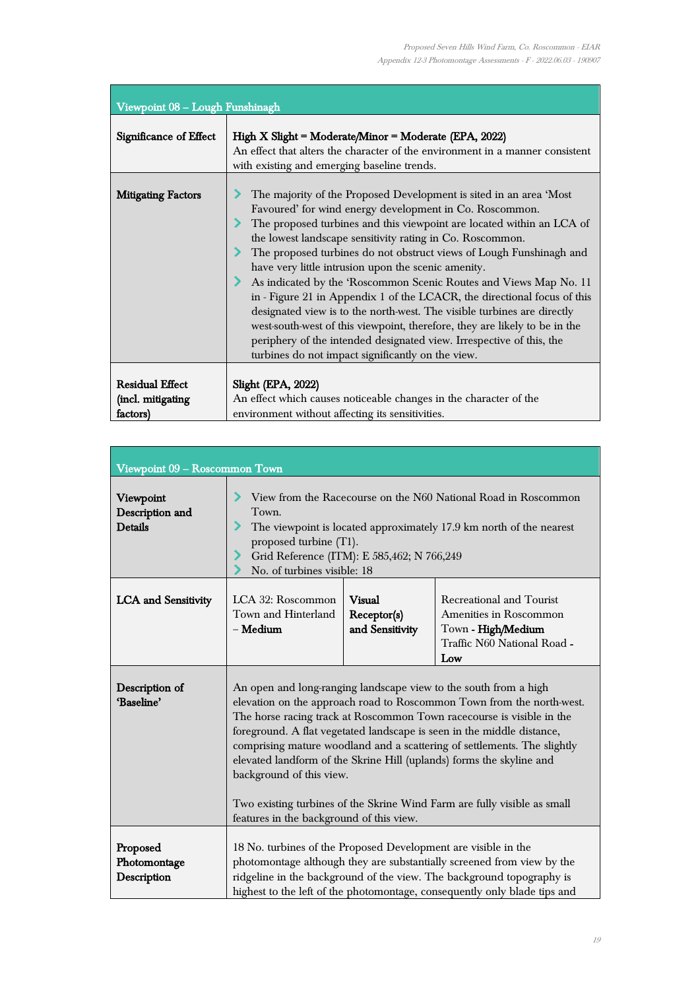| Viewpoint 08 - Lough Funshinagh                         |                                                                                                                                                                                                                                                                                                                                                                                                                                                                                                                                                                                                                                                                                                                                                                                                                                          |  |  |
|---------------------------------------------------------|------------------------------------------------------------------------------------------------------------------------------------------------------------------------------------------------------------------------------------------------------------------------------------------------------------------------------------------------------------------------------------------------------------------------------------------------------------------------------------------------------------------------------------------------------------------------------------------------------------------------------------------------------------------------------------------------------------------------------------------------------------------------------------------------------------------------------------------|--|--|
| <b>Significance of Effect</b>                           | High X Slight = Moderate/Minor = Moderate (EPA, 2022)<br>An effect that alters the character of the environment in a manner consistent<br>with existing and emerging baseline trends.                                                                                                                                                                                                                                                                                                                                                                                                                                                                                                                                                                                                                                                    |  |  |
| <b>Mitigating Factors</b>                               | The majority of the Proposed Development is sited in an area 'Most<br>Favoured' for wind energy development in Co. Roscommon.<br>The proposed turbines and this viewpoint are located within an LCA of<br>the lowest landscape sensitivity rating in Co. Roscommon.<br>The proposed turbines do not obstruct views of Lough Funshinagh and<br>have very little intrusion upon the scenic amenity.<br>As indicated by the 'Roscommon Scenic Routes and Views Map No. 11<br>in - Figure 21 in Appendix 1 of the LCACR, the directional focus of this<br>designated view is to the north-west. The visible turbines are directly<br>west-south-west of this viewpoint, therefore, they are likely to be in the<br>periphery of the intended designated view. Irrespective of this, the<br>turbines do not impact significantly on the view. |  |  |
| <b>Residual Effect</b><br>(incl. mitigating<br>factors) | Slight (EPA, 2022)<br>An effect which causes noticeable changes in the character of the<br>environment without affecting its sensitivities.                                                                                                                                                                                                                                                                                                                                                                                                                                                                                                                                                                                                                                                                                              |  |  |

| Viewpoint 09 - Roscommon Town                  |                                                                                                                                                                                                                                                                                                                                                                                                                                                                                                                                                                                                      |                                                 |                                                                                                                |
|------------------------------------------------|------------------------------------------------------------------------------------------------------------------------------------------------------------------------------------------------------------------------------------------------------------------------------------------------------------------------------------------------------------------------------------------------------------------------------------------------------------------------------------------------------------------------------------------------------------------------------------------------------|-------------------------------------------------|----------------------------------------------------------------------------------------------------------------|
| Viewpoint<br>Description and<br><b>Details</b> | View from the Racecourse on the N60 National Road in Roscommon<br>Town.<br>The viewpoint is located approximately 17.9 km north of the nearest<br>proposed turbine (T1).<br>Grid Reference (ITM): E 585,462; N 766,249<br>No. of turbines visible: 18                                                                                                                                                                                                                                                                                                                                                |                                                 |                                                                                                                |
| <b>LCA</b> and Sensitivity                     | LCA 32: Roscommon<br>Town and Hinterland<br>$-$ Medium                                                                                                                                                                                                                                                                                                                                                                                                                                                                                                                                               | <b>Visual</b><br>Receptor(s)<br>and Sensitivity | Recreational and Tourist<br>Amenities in Roscommon<br>Town - High/Medium<br>Traffic N60 National Road -<br>Low |
| Description of<br>'Baseline'                   | An open and long-ranging landscape view to the south from a high<br>elevation on the approach road to Roscommon Town from the north-west.<br>The horse racing track at Roscommon Town racecourse is visible in the<br>foreground. A flat vegetated landscape is seen in the middle distance,<br>comprising mature woodland and a scattering of settlements. The slightly<br>elevated landform of the Skrine Hill (uplands) forms the skyline and<br>background of this view.<br>Two existing turbines of the Skrine Wind Farm are fully visible as small<br>features in the background of this view. |                                                 |                                                                                                                |
| Proposed<br>Photomontage<br>Description        | 18 No. turbines of the Proposed Development are visible in the<br>photomontage although they are substantially screened from view by the<br>ridgeline in the background of the view. The background topography is<br>highest to the left of the photomontage, consequently only blade tips and                                                                                                                                                                                                                                                                                                       |                                                 |                                                                                                                |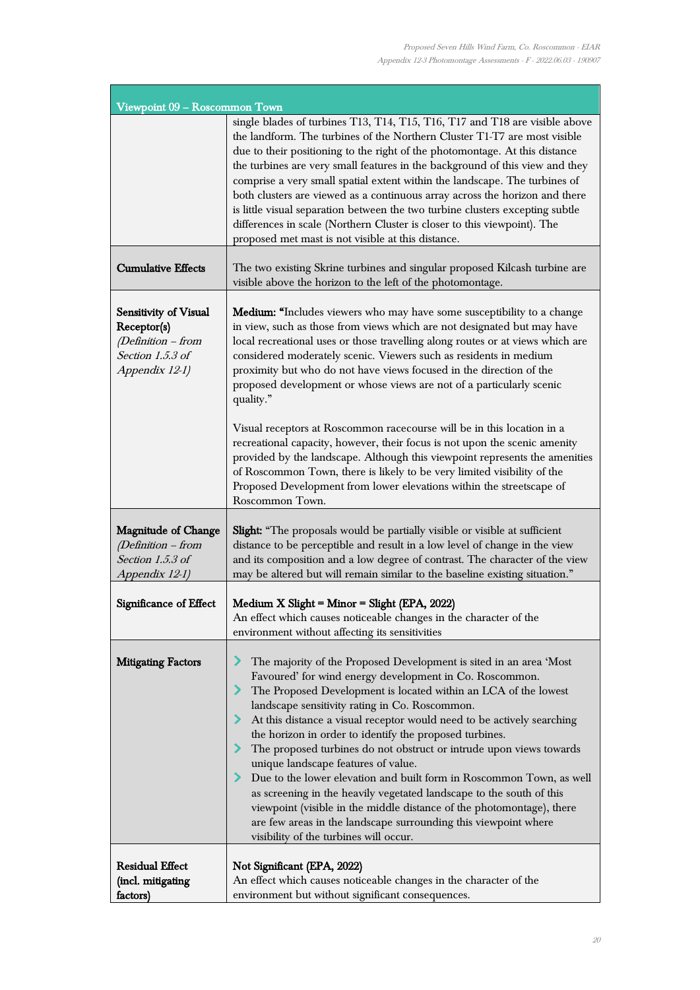ī

| Viewpoint 09 - Roscommon Town                                                                    |                                                                                                                                                                                                                                                                                                                                                                                                                                                                                                                                                                                                                                                                                                                                                                                                                                             |  |
|--------------------------------------------------------------------------------------------------|---------------------------------------------------------------------------------------------------------------------------------------------------------------------------------------------------------------------------------------------------------------------------------------------------------------------------------------------------------------------------------------------------------------------------------------------------------------------------------------------------------------------------------------------------------------------------------------------------------------------------------------------------------------------------------------------------------------------------------------------------------------------------------------------------------------------------------------------|--|
|                                                                                                  | single blades of turbines T13, T14, T15, T16, T17 and T18 are visible above<br>the landform. The turbines of the Northern Cluster T1-T7 are most visible<br>due to their positioning to the right of the photomontage. At this distance<br>the turbines are very small features in the background of this view and they<br>comprise a very small spatial extent within the landscape. The turbines of<br>both clusters are viewed as a continuous array across the horizon and there<br>is little visual separation between the two turbine clusters excepting subtle<br>differences in scale (Northern Cluster is closer to this viewpoint). The<br>proposed met mast is not visible at this distance.                                                                                                                                     |  |
| <b>Cumulative Effects</b>                                                                        | The two existing Skrine turbines and singular proposed Kilcash turbine are<br>visible above the horizon to the left of the photomontage.                                                                                                                                                                                                                                                                                                                                                                                                                                                                                                                                                                                                                                                                                                    |  |
| Sensitivity of Visual<br>Receptor(s)<br>(Definition - from<br>Section 1.5.3 of<br>Appendix 12-1) | Medium: "Includes viewers who may have some susceptibility to a change<br>in view, such as those from views which are not designated but may have<br>local recreational uses or those travelling along routes or at views which are<br>considered moderately scenic. Viewers such as residents in medium<br>proximity but who do not have views focused in the direction of the<br>proposed development or whose views are not of a particularly scenic<br>quality."                                                                                                                                                                                                                                                                                                                                                                        |  |
|                                                                                                  | Visual receptors at Roscommon racecourse will be in this location in a<br>recreational capacity, however, their focus is not upon the scenic amenity<br>provided by the landscape. Although this viewpoint represents the amenities<br>of Roscommon Town, there is likely to be very limited visibility of the<br>Proposed Development from lower elevations within the streetscape of<br>Roscommon Town.                                                                                                                                                                                                                                                                                                                                                                                                                                   |  |
| <b>Magnitude of Change</b><br>(Definition - from<br>Section 1.5.3 of<br>Appendix 12-1)           | <b>Slight:</b> "The proposals would be partially visible or visible at sufficient<br>distance to be perceptible and result in a low level of change in the view<br>and its composition and a low degree of contrast. The character of the view<br>may be altered but will remain similar to the baseline existing situation."                                                                                                                                                                                                                                                                                                                                                                                                                                                                                                               |  |
| Significance of Effect                                                                           | Medium X Slight = Minor = Slight (EPA, 2022)<br>An effect which causes noticeable changes in the character of the<br>environment without affecting its sensitivities                                                                                                                                                                                                                                                                                                                                                                                                                                                                                                                                                                                                                                                                        |  |
| <b>Mitigating Factors</b>                                                                        | The majority of the Proposed Development is sited in an area 'Most<br>Favoured' for wind energy development in Co. Roscommon.<br>The Proposed Development is located within an LCA of the lowest<br>landscape sensitivity rating in Co. Roscommon.<br>At this distance a visual receptor would need to be actively searching<br>the horizon in order to identify the proposed turbines.<br>The proposed turbines do not obstruct or intrude upon views towards<br>unique landscape features of value.<br>Due to the lower elevation and built form in Roscommon Town, as well<br>as screening in the heavily vegetated landscape to the south of this<br>viewpoint (visible in the middle distance of the photomontage), there<br>are few areas in the landscape surrounding this viewpoint where<br>visibility of the turbines will occur. |  |
| <b>Residual Effect</b><br>(incl. mitigating<br>factors)                                          | Not Significant (EPA, 2022)<br>An effect which causes noticeable changes in the character of the<br>environment but without significant consequences.                                                                                                                                                                                                                                                                                                                                                                                                                                                                                                                                                                                                                                                                                       |  |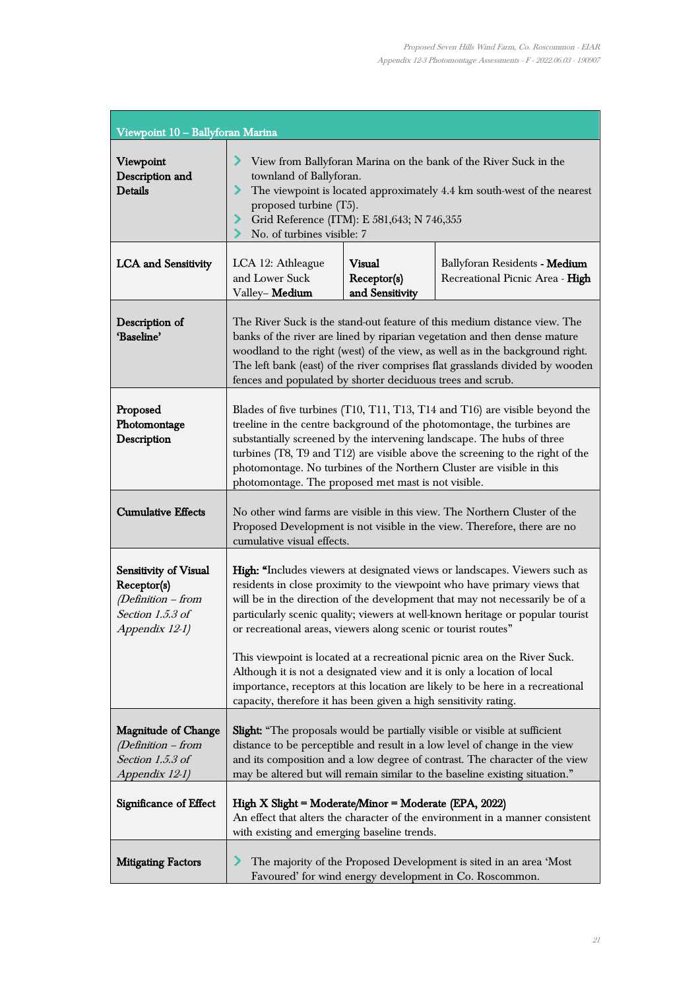| Viewpoint 10 - Ballyforan Marina                                                                 |                                                                                                                                                                                                                                                                                                                                                                                                                                                                                                                                                                                                                                                                                                            |  |                                                                                                                               |  |
|--------------------------------------------------------------------------------------------------|------------------------------------------------------------------------------------------------------------------------------------------------------------------------------------------------------------------------------------------------------------------------------------------------------------------------------------------------------------------------------------------------------------------------------------------------------------------------------------------------------------------------------------------------------------------------------------------------------------------------------------------------------------------------------------------------------------|--|-------------------------------------------------------------------------------------------------------------------------------|--|
| Viewpoint<br>Description and<br><b>Details</b>                                                   | View from Ballyforan Marina on the bank of the River Suck in the<br>townland of Ballyforan.<br>⋗<br>The viewpoint is located approximately 4.4 km south-west of the nearest<br>proposed turbine (T5).<br>Grid Reference (ITM): E 581,643; N 746,355<br>⋗<br>No. of turbines visible: 7                                                                                                                                                                                                                                                                                                                                                                                                                     |  |                                                                                                                               |  |
| <b>LCA</b> and Sensitivity                                                                       | <b>Visual</b><br>LCA 12: Athleague<br>Ballyforan Residents - Medium<br>and Lower Suck<br>Receptor(s)<br>Recreational Picnic Area - High<br>and Sensitivity<br>Valley-Medium                                                                                                                                                                                                                                                                                                                                                                                                                                                                                                                                |  |                                                                                                                               |  |
| Description of<br>'Baseline'                                                                     | The River Suck is the stand-out feature of this medium distance view. The<br>banks of the river are lined by riparian vegetation and then dense mature<br>woodland to the right (west) of the view, as well as in the background right.<br>The left bank (east) of the river comprises flat grasslands divided by wooden<br>fences and populated by shorter deciduous trees and scrub.                                                                                                                                                                                                                                                                                                                     |  |                                                                                                                               |  |
| Proposed<br>Photomontage<br>Description                                                          | Blades of five turbines (T10, T11, T13, T14 and T16) are visible beyond the<br>treeline in the centre background of the photomontage, the turbines are<br>substantially screened by the intervening landscape. The hubs of three<br>turbines (T8, T9 and T12) are visible above the screening to the right of the<br>photomontage. No turbines of the Northern Cluster are visible in this<br>photomontage. The proposed met mast is not visible.                                                                                                                                                                                                                                                          |  |                                                                                                                               |  |
| <b>Cumulative Effects</b>                                                                        | No other wind farms are visible in this view. The Northern Cluster of the<br>Proposed Development is not visible in the view. Therefore, there are no<br>cumulative visual effects.                                                                                                                                                                                                                                                                                                                                                                                                                                                                                                                        |  |                                                                                                                               |  |
| Sensitivity of Visual<br>Receptor(s)<br>(Definition - from<br>Section 1.5.3 of<br>Appendix 12-1) | High: "Includes viewers at designated views or landscapes. Viewers such as<br>residents in close proximity to the viewpoint who have primary views that<br>will be in the direction of the development that may not necessarily be of a<br>particularly scenic quality; viewers at well-known heritage or popular tourist<br>or recreational areas, viewers along scenic or tourist routes"<br>This viewpoint is located at a recreational picnic area on the River Suck.<br>Although it is not a designated view and it is only a location of local<br>importance, receptors at this location are likely to be here in a recreational<br>capacity, therefore it has been given a high sensitivity rating. |  |                                                                                                                               |  |
| <b>Magnitude of Change</b><br>(Definition - from<br>Section 1.5.3 of<br>Appendix 12-1)           | Slight: "The proposals would be partially visible or visible at sufficient<br>distance to be perceptible and result in a low level of change in the view<br>and its composition and a low degree of contrast. The character of the view<br>may be altered but will remain similar to the baseline existing situation."                                                                                                                                                                                                                                                                                                                                                                                     |  |                                                                                                                               |  |
| Significance of Effect                                                                           | High X Slight = Moderate/Minor = Moderate (EPA, 2022)<br>An effect that alters the character of the environment in a manner consistent<br>with existing and emerging baseline trends.                                                                                                                                                                                                                                                                                                                                                                                                                                                                                                                      |  |                                                                                                                               |  |
| <b>Mitigating Factors</b>                                                                        | ↗                                                                                                                                                                                                                                                                                                                                                                                                                                                                                                                                                                                                                                                                                                          |  | The majority of the Proposed Development is sited in an area 'Most<br>Favoured' for wind energy development in Co. Roscommon. |  |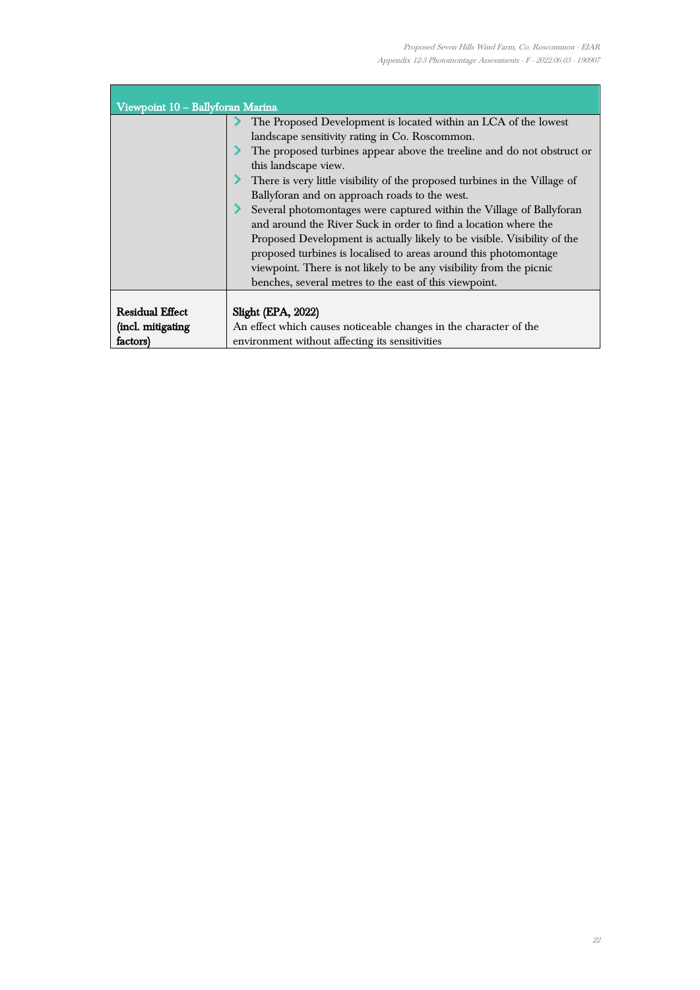÷,

| Viewpoint 10 - Ballyforan Marina |                                                                            |  |  |
|----------------------------------|----------------------------------------------------------------------------|--|--|
|                                  | The Proposed Development is located within an LCA of the lowest            |  |  |
|                                  | landscape sensitivity rating in Co. Roscommon.                             |  |  |
|                                  | The proposed turbines appear above the treeline and do not obstruct or     |  |  |
|                                  | this landscape view.                                                       |  |  |
|                                  | There is very little visibility of the proposed turbines in the Village of |  |  |
|                                  | Ballyforan and on approach roads to the west.                              |  |  |
|                                  | Several photomontages were captured within the Village of Ballyforan       |  |  |
|                                  | and around the River Suck in order to find a location where the            |  |  |
|                                  | Proposed Development is actually likely to be visible. Visibility of the   |  |  |
|                                  | proposed turbines is localised to areas around this photomontage           |  |  |
|                                  | viewpoint. There is not likely to be any visibility from the picnic        |  |  |
|                                  | benches, several metres to the east of this viewpoint.                     |  |  |
|                                  |                                                                            |  |  |
| <b>Residual Effect</b>           | Slight (EPA, 2022)                                                         |  |  |
| (incl. mitigating                | An effect which causes noticeable changes in the character of the          |  |  |
| factors)                         | environment without affecting its sensitivities                            |  |  |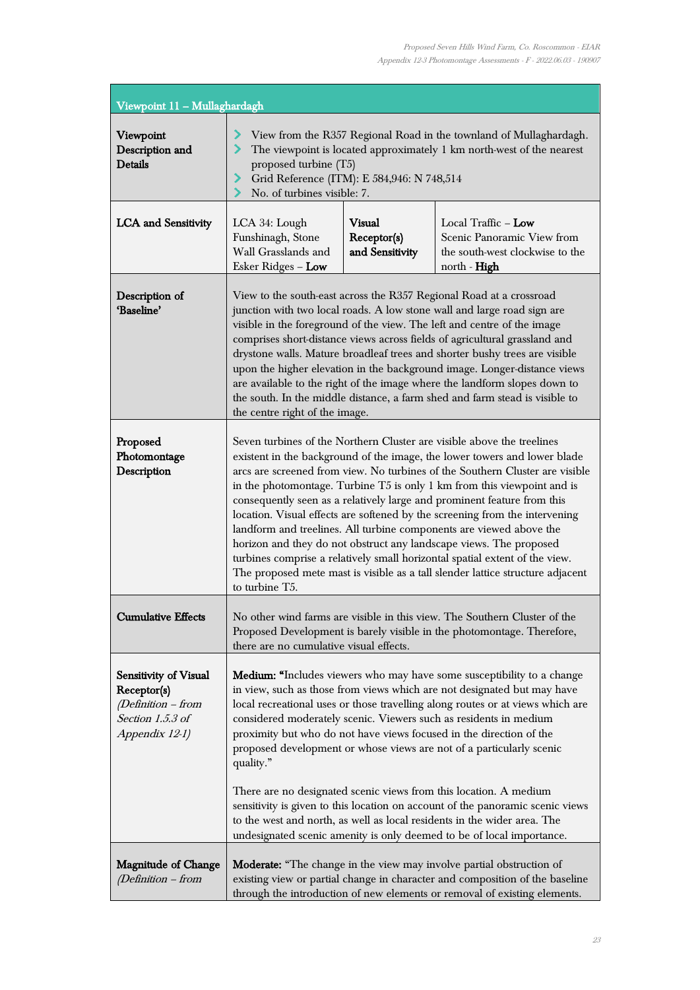| Viewpoint 11 - Mullaghardagh                                                                     |                                                                                                                                                                                                                                                                                                                                                                                                                                                                                                                                                                                                                                                                                                                                                                                                            |                                                 |                                                                                                                                                                                                                                          |
|--------------------------------------------------------------------------------------------------|------------------------------------------------------------------------------------------------------------------------------------------------------------------------------------------------------------------------------------------------------------------------------------------------------------------------------------------------------------------------------------------------------------------------------------------------------------------------------------------------------------------------------------------------------------------------------------------------------------------------------------------------------------------------------------------------------------------------------------------------------------------------------------------------------------|-------------------------------------------------|------------------------------------------------------------------------------------------------------------------------------------------------------------------------------------------------------------------------------------------|
| Viewpoint<br>Description and<br><b>Details</b>                                                   | View from the R357 Regional Road in the townland of Mullaghardagh.<br>The viewpoint is located approximately 1 km north-west of the nearest<br>proposed turbine (T5)<br>Grid Reference (ITM): E 584,946: N 748,514<br>No. of turbines visible: 7.                                                                                                                                                                                                                                                                                                                                                                                                                                                                                                                                                          |                                                 |                                                                                                                                                                                                                                          |
| <b>LCA</b> and Sensitivity                                                                       | LCA 34: Lough<br>Funshinagh, Stone<br>Wall Grasslands and<br>Esker Ridges - Low                                                                                                                                                                                                                                                                                                                                                                                                                                                                                                                                                                                                                                                                                                                            | <b>Visual</b><br>Receptor(s)<br>and Sensitivity | Local Traffic $-$ Low<br>Scenic Panoramic View from<br>the south-west clockwise to the<br>north - High                                                                                                                                   |
| Description of<br>'Baseline'                                                                     | View to the south-east across the R357 Regional Road at a crossroad<br>junction with two local roads. A low stone wall and large road sign are<br>visible in the foreground of the view. The left and centre of the image<br>comprises short-distance views across fields of agricultural grassland and<br>drystone walls. Mature broadleaf trees and shorter bushy trees are visible<br>upon the higher elevation in the background image. Longer-distance views<br>are available to the right of the image where the landform slopes down to<br>the south. In the middle distance, a farm shed and farm stead is visible to<br>the centre right of the image.                                                                                                                                            |                                                 |                                                                                                                                                                                                                                          |
| Proposed<br>Photomontage<br>Description                                                          | Seven turbines of the Northern Cluster are visible above the treelines<br>existent in the background of the image, the lower towers and lower blade<br>arcs are screened from view. No turbines of the Southern Cluster are visible<br>in the photomontage. Turbine $T5$ is only 1 km from this viewpoint and is<br>consequently seen as a relatively large and prominent feature from this<br>location. Visual effects are softened by the screening from the intervening<br>landform and treelines. All turbine components are viewed above the<br>horizon and they do not obstruct any landscape views. The proposed<br>turbines comprise a relatively small horizontal spatial extent of the view.<br>The proposed mete mast is visible as a tall slender lattice structure adjacent<br>to turbine T5. |                                                 |                                                                                                                                                                                                                                          |
| Cumulative Effects                                                                               | No other wind farms are visible in this view. The Southern Cluster of the<br>Proposed Development is barely visible in the photomontage. Therefore,<br>there are no cumulative visual effects.                                                                                                                                                                                                                                                                                                                                                                                                                                                                                                                                                                                                             |                                                 |                                                                                                                                                                                                                                          |
| Sensitivity of Visual<br>Receptor(s)<br>(Definition - from<br>Section 1.5.3 of<br>Appendix 12-1) | Medium: "Includes viewers who may have some susceptibility to a change<br>in view, such as those from views which are not designated but may have<br>local recreational uses or those travelling along routes or at views which are<br>considered moderately scenic. Viewers such as residents in medium<br>proximity but who do not have views focused in the direction of the<br>proposed development or whose views are not of a particularly scenic<br>quality."<br>There are no designated scenic views from this location. A medium<br>sensitivity is given to this location on account of the panoramic scenic views<br>to the west and north, as well as local residents in the wider area. The<br>undesignated scenic amenity is only deemed to be of local importance.                           |                                                 |                                                                                                                                                                                                                                          |
| <b>Magnitude of Change</b><br>(Definition - from                                                 |                                                                                                                                                                                                                                                                                                                                                                                                                                                                                                                                                                                                                                                                                                                                                                                                            |                                                 | <b>Moderate:</b> "The change in the view may involve partial obstruction of<br>existing view or partial change in character and composition of the baseline<br>through the introduction of new elements or removal of existing elements. |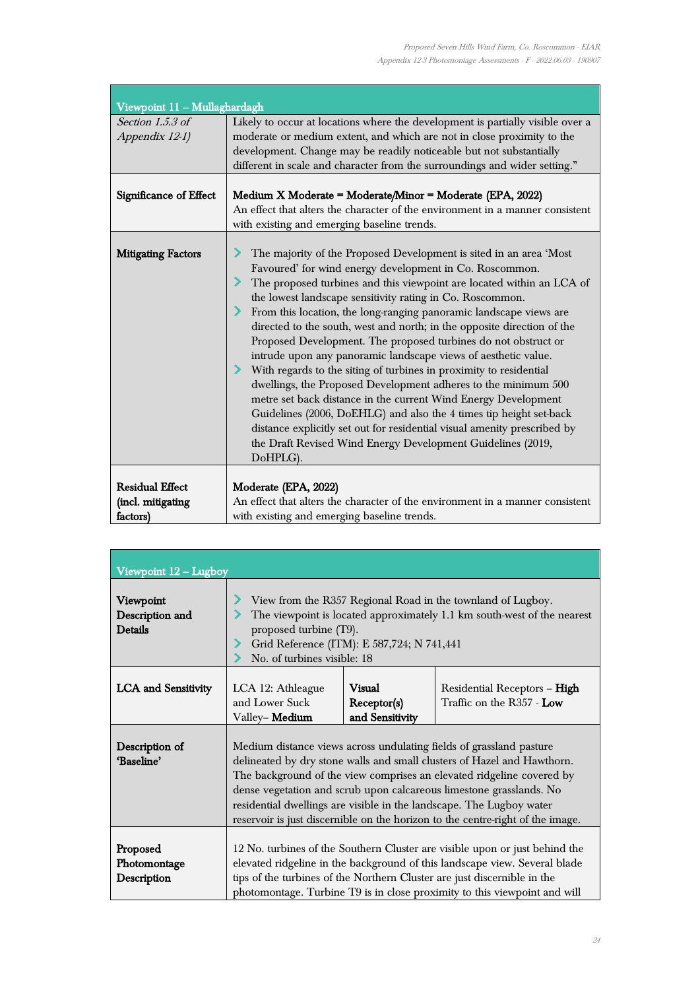ŧ

| Viewpoint 11 - Mullaghardagh                            |                                                                                                                                                                                                                                                                                                                                                                                                                                                                                                                                                                                                                                                                                                                                                                                                                                                                                                                                                                                                 |
|---------------------------------------------------------|-------------------------------------------------------------------------------------------------------------------------------------------------------------------------------------------------------------------------------------------------------------------------------------------------------------------------------------------------------------------------------------------------------------------------------------------------------------------------------------------------------------------------------------------------------------------------------------------------------------------------------------------------------------------------------------------------------------------------------------------------------------------------------------------------------------------------------------------------------------------------------------------------------------------------------------------------------------------------------------------------|
| Section $1.5.3$ of<br>Appendix 12-1)                    | Likely to occur at locations where the development is partially visible over a<br>moderate or medium extent, and which are not in close proximity to the<br>development. Change may be readily noticeable but not substantially<br>different in scale and character from the surroundings and wider setting."                                                                                                                                                                                                                                                                                                                                                                                                                                                                                                                                                                                                                                                                                   |
| Significance of Effect                                  | Medium X Moderate = Moderate/Minor = Moderate (EPA, 2022)<br>An effect that alters the character of the environment in a manner consistent<br>with existing and emerging baseline trends.                                                                                                                                                                                                                                                                                                                                                                                                                                                                                                                                                                                                                                                                                                                                                                                                       |
| <b>Mitigating Factors</b>                               | The majority of the Proposed Development is sited in an area 'Most<br>Favoured' for wind energy development in Co. Roscommon.<br>The proposed turbines and this viewpoint are located within an LCA of<br>the lowest landscape sensitivity rating in Co. Roscommon.<br>From this location, the long-ranging panoramic landscape views are<br>directed to the south, west and north; in the opposite direction of the<br>Proposed Development. The proposed turbines do not obstruct or<br>intrude upon any panoramic landscape views of aesthetic value.<br>With regards to the siting of turbines in proximity to residential<br>dwellings, the Proposed Development adheres to the minimum 500<br>metre set back distance in the current Wind Energy Development<br>Guidelines (2006, DoEHLG) and also the 4 times tip height set-back<br>distance explicitly set out for residential visual amenity prescribed by<br>the Draft Revised Wind Energy Development Guidelines (2019,<br>DoHPLG). |
| <b>Residual Effect</b><br>(incl. mitigating<br>factors) | Moderate (EPA, 2022)<br>An effect that alters the character of the environment in a manner consistent<br>with existing and emerging baseline trends.                                                                                                                                                                                                                                                                                                                                                                                                                                                                                                                                                                                                                                                                                                                                                                                                                                            |

| Viewpoint 12 - Lugboy                          |                                                                                                                                                                                                                                                                                                                                                                                                                                                          |                                                 |                                                           |
|------------------------------------------------|----------------------------------------------------------------------------------------------------------------------------------------------------------------------------------------------------------------------------------------------------------------------------------------------------------------------------------------------------------------------------------------------------------------------------------------------------------|-------------------------------------------------|-----------------------------------------------------------|
| Viewpoint<br>Description and<br><b>Details</b> | View from the R357 Regional Road in the townland of Lugboy.<br>The viewpoint is located approximately 1.1 km south-west of the nearest<br>proposed turbine (T9).<br>Grid Reference (ITM): E 587,724; N 741,441<br>No. of turbines visible: 18                                                                                                                                                                                                            |                                                 |                                                           |
| <b>LCA</b> and Sensitivity                     | LCA 12: Athleague<br>and Lower Suck<br>Valley-Medium                                                                                                                                                                                                                                                                                                                                                                                                     | <b>Visual</b><br>Receptor(s)<br>and Sensitivity | Residential Receptors - High<br>Traffic on the R357 - Low |
| Description of<br>'Baseline'                   | Medium distance views across undulating fields of grassland pasture<br>delineated by dry stone walls and small clusters of Hazel and Hawthorn.<br>The background of the view comprises an elevated ridgeline covered by<br>dense vegetation and scrub upon calcareous limestone grasslands. No<br>residential dwellings are visible in the landscape. The Lugboy water<br>reservoir is just discernible on the horizon to the centre-right of the image. |                                                 |                                                           |
| Proposed<br>Photomontage<br>Description        | 12 No. turbines of the Southern Cluster are visible upon or just behind the<br>elevated ridgeline in the background of this landscape view. Several blade<br>tips of the turbines of the Northern Cluster are just discernible in the<br>photomontage. Turbine T9 is in close proximity to this viewpoint and will                                                                                                                                       |                                                 |                                                           |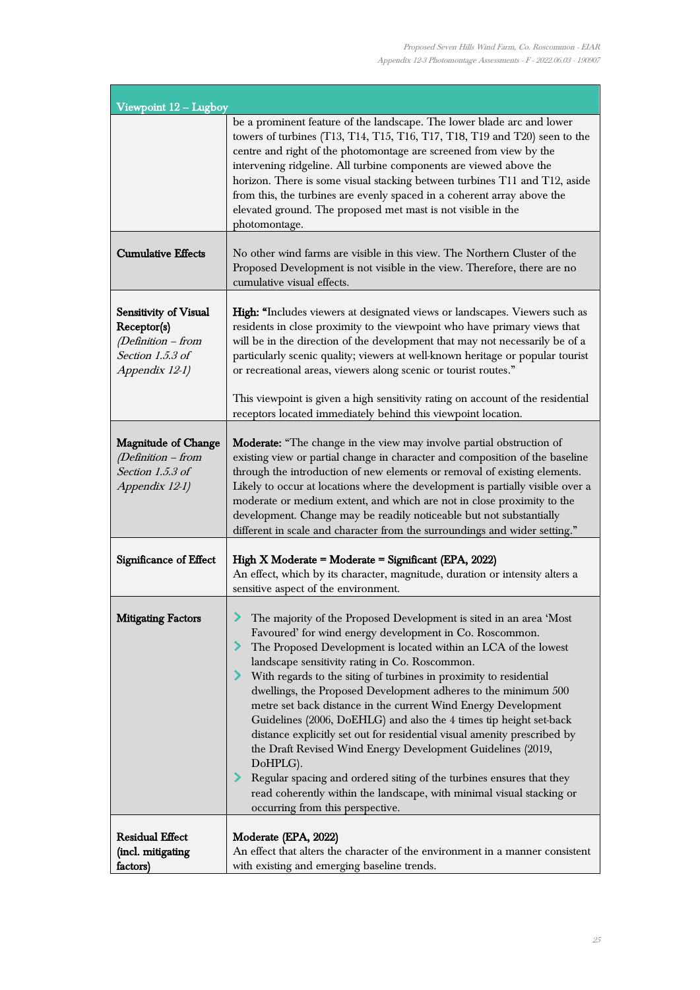ī

| Viewpoint $12 -$ Lugboy                                                                          |                                                                                                                                                                                                                                                                                                                                                                                                                                                                                                                                                                                                                                                                                                                                                                                                                                                                                  |
|--------------------------------------------------------------------------------------------------|----------------------------------------------------------------------------------------------------------------------------------------------------------------------------------------------------------------------------------------------------------------------------------------------------------------------------------------------------------------------------------------------------------------------------------------------------------------------------------------------------------------------------------------------------------------------------------------------------------------------------------------------------------------------------------------------------------------------------------------------------------------------------------------------------------------------------------------------------------------------------------|
|                                                                                                  | be a prominent feature of the landscape. The lower blade arc and lower<br>towers of turbines (T13, T14, T15, T16, T17, T18, T19 and T20) seen to the<br>centre and right of the photomontage are screened from view by the<br>intervening ridgeline. All turbine components are viewed above the<br>horizon. There is some visual stacking between turbines T11 and T12, aside<br>from this, the turbines are evenly spaced in a coherent array above the<br>elevated ground. The proposed met mast is not visible in the<br>photomontage.                                                                                                                                                                                                                                                                                                                                       |
| <b>Cumulative Effects</b>                                                                        | No other wind farms are visible in this view. The Northern Cluster of the<br>Proposed Development is not visible in the view. Therefore, there are no<br>cumulative visual effects.                                                                                                                                                                                                                                                                                                                                                                                                                                                                                                                                                                                                                                                                                              |
| Sensitivity of Visual<br>Receptor(s)<br>(Definition - from<br>Section 1.5.3 of<br>Appendix 12-1) | High: "Includes viewers at designated views or landscapes. Viewers such as<br>residents in close proximity to the viewpoint who have primary views that<br>will be in the direction of the development that may not necessarily be of a<br>particularly scenic quality; viewers at well-known heritage or popular tourist<br>or recreational areas, viewers along scenic or tourist routes."<br>This viewpoint is given a high sensitivity rating on account of the residential<br>receptors located immediately behind this viewpoint location.                                                                                                                                                                                                                                                                                                                                 |
| <b>Magnitude of Change</b><br>(Definition - from<br>Section 1.5.3 of<br>Appendix 12-1)           | <b>Moderate:</b> "The change in the view may involve partial obstruction of<br>existing view or partial change in character and composition of the baseline<br>through the introduction of new elements or removal of existing elements.<br>Likely to occur at locations where the development is partially visible over a<br>moderate or medium extent, and which are not in close proximity to the<br>development. Change may be readily noticeable but not substantially<br>different in scale and character from the surroundings and wider setting."                                                                                                                                                                                                                                                                                                                        |
| Significance of Effect                                                                           | High X Moderate = Moderate = Significant (EPA, 2022)<br>An effect, which by its character, magnitude, duration or intensity alters a<br>sensitive aspect of the environment.                                                                                                                                                                                                                                                                                                                                                                                                                                                                                                                                                                                                                                                                                                     |
| <b>Mitigating Factors</b>                                                                        | The majority of the Proposed Development is sited in an area 'Most<br>Favoured' for wind energy development in Co. Roscommon.<br>The Proposed Development is located within an LCA of the lowest<br>landscape sensitivity rating in Co. Roscommon.<br>> With regards to the siting of turbines in proximity to residential<br>dwellings, the Proposed Development adheres to the minimum 500<br>metre set back distance in the current Wind Energy Development<br>Guidelines (2006, DoEHLG) and also the 4 times tip height set-back<br>distance explicitly set out for residential visual amenity prescribed by<br>the Draft Revised Wind Energy Development Guidelines (2019,<br>DoHPLG).<br>Regular spacing and ordered siting of the turbines ensures that they<br>read coherently within the landscape, with minimal visual stacking or<br>occurring from this perspective. |
| <b>Residual Effect</b><br>(incl. mitigating<br>factors)                                          | Moderate (EPA, 2022)<br>An effect that alters the character of the environment in a manner consistent<br>with existing and emerging baseline trends.                                                                                                                                                                                                                                                                                                                                                                                                                                                                                                                                                                                                                                                                                                                             |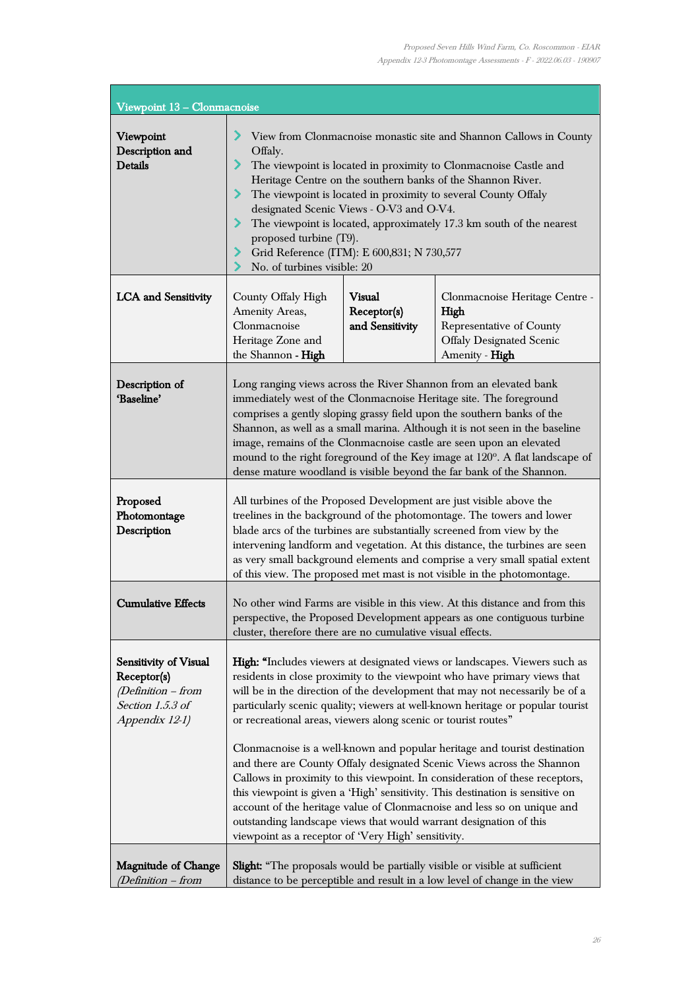ı,

| Viewpoint 13 - Clonmacnoise                                                                        |                                                                                                                                                                                                                                                                                                                                                                                                                                                                                                                                                                                                                                                                                                                                                                                                                                                                                                                              |                                                 |                                                                                                                         |
|----------------------------------------------------------------------------------------------------|------------------------------------------------------------------------------------------------------------------------------------------------------------------------------------------------------------------------------------------------------------------------------------------------------------------------------------------------------------------------------------------------------------------------------------------------------------------------------------------------------------------------------------------------------------------------------------------------------------------------------------------------------------------------------------------------------------------------------------------------------------------------------------------------------------------------------------------------------------------------------------------------------------------------------|-------------------------------------------------|-------------------------------------------------------------------------------------------------------------------------|
| Viewpoint<br>Description and<br><b>Details</b>                                                     | View from Clonmacnoise monastic site and Shannon Callows in County<br>Offaly.<br>The viewpoint is located in proximity to Clonmacnoise Castle and<br>Heritage Centre on the southern banks of the Shannon River.<br>The viewpoint is located in proximity to several County Offaly<br>⋗<br>designated Scenic Views - O-V3 and O-V4.<br>The viewpoint is located, approximately 17.3 km south of the nearest<br>⋗<br>proposed turbine (T9).<br>Grid Reference (ITM): E 600,831; N 730,577<br>⋗<br>No. of turbines visible: 20                                                                                                                                                                                                                                                                                                                                                                                                 |                                                 |                                                                                                                         |
| <b>LCA</b> and Sensitivity                                                                         | County Offaly High<br>Amenity Areas,<br>Clonmacnoise<br>Heritage Zone and<br>the Shannon - High                                                                                                                                                                                                                                                                                                                                                                                                                                                                                                                                                                                                                                                                                                                                                                                                                              | <b>Visual</b><br>Receptor(s)<br>and Sensitivity | Clonmacnoise Heritage Centre -<br>High<br>Representative of County<br><b>Offaly Designated Scenic</b><br>Amenity - High |
| Description of<br>'Baseline'                                                                       | Long ranging views across the River Shannon from an elevated bank<br>immediately west of the Clonmacnoise Heritage site. The foreground<br>comprises a gently sloping grassy field upon the southern banks of the<br>Shannon, as well as a small marina. Although it is not seen in the baseline<br>image, remains of the Clonmacnoise castle are seen upon an elevated<br>mound to the right foreground of the Key image at 120°. A flat landscape of<br>dense mature woodland is visible beyond the far bank of the Shannon.                                                                                                                                                                                                                                                                                                                                                                                               |                                                 |                                                                                                                         |
| Proposed<br>Photomontage<br>Description                                                            | All turbines of the Proposed Development are just visible above the<br>treelines in the background of the photomontage. The towers and lower<br>blade arcs of the turbines are substantially screened from view by the<br>intervening landform and vegetation. At this distance, the turbines are seen<br>as very small background elements and comprise a very small spatial extent<br>of this view. The proposed met mast is not visible in the photomontage.                                                                                                                                                                                                                                                                                                                                                                                                                                                              |                                                 |                                                                                                                         |
| <b>Cumulative Effects</b>                                                                          | No other wind Farms are visible in this view. At this distance and from this<br>perspective, the Proposed Development appears as one contiguous turbine<br>cluster, therefore there are no cumulative visual effects.                                                                                                                                                                                                                                                                                                                                                                                                                                                                                                                                                                                                                                                                                                        |                                                 |                                                                                                                         |
| Sensitivity of Visual<br>Receptor(s)<br>(Definition - from<br>Section $1.5.3$ of<br>Appendix 12-1) | High: "Includes viewers at designated views or landscapes. Viewers such as<br>residents in close proximity to the viewpoint who have primary views that<br>will be in the direction of the development that may not necessarily be of a<br>particularly scenic quality; viewers at well-known heritage or popular tourist<br>or recreational areas, viewers along scenic or tourist routes"<br>Clonmacnoise is a well-known and popular heritage and tourist destination<br>and there are County Offaly designated Scenic Views across the Shannon<br>Callows in proximity to this viewpoint. In consideration of these receptors,<br>this viewpoint is given a 'High' sensitivity. This destination is sensitive on<br>account of the heritage value of Clonmacnoise and less so on unique and<br>outstanding landscape views that would warrant designation of this<br>viewpoint as a receptor of 'Very High' sensitivity. |                                                 |                                                                                                                         |
| <b>Magnitude of Change</b><br>(Definition – from                                                   | <b>Slight:</b> "The proposals would be partially visible or visible at sufficient<br>distance to be perceptible and result in a low level of change in the view                                                                                                                                                                                                                                                                                                                                                                                                                                                                                                                                                                                                                                                                                                                                                              |                                                 |                                                                                                                         |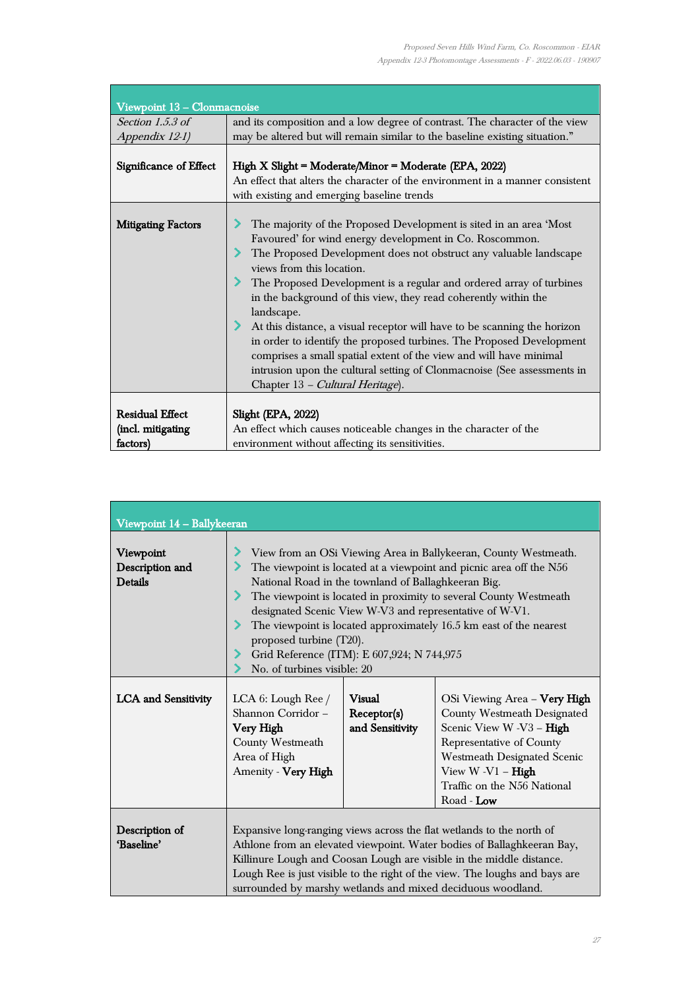$\overline{\phantom{a}}$ 

| Viewpoint 13 - Clonmacnoise                             |                                                                                                                                                                                                                                                                                                                                                                                                                                                                                                                                                                                                                                                                                                                                  |
|---------------------------------------------------------|----------------------------------------------------------------------------------------------------------------------------------------------------------------------------------------------------------------------------------------------------------------------------------------------------------------------------------------------------------------------------------------------------------------------------------------------------------------------------------------------------------------------------------------------------------------------------------------------------------------------------------------------------------------------------------------------------------------------------------|
| Section $1.5.3$ of<br>Appendix 12-1)                    | and its composition and a low degree of contrast. The character of the view<br>may be altered but will remain similar to the baseline existing situation."                                                                                                                                                                                                                                                                                                                                                                                                                                                                                                                                                                       |
| Significance of Effect                                  | High X Slight = Moderate/Minor = Moderate (EPA, 2022)<br>An effect that alters the character of the environment in a manner consistent<br>with existing and emerging baseline trends                                                                                                                                                                                                                                                                                                                                                                                                                                                                                                                                             |
| <b>Mitigating Factors</b>                               | The majority of the Proposed Development is sited in an area 'Most<br>Favoured' for wind energy development in Co. Roscommon.<br>The Proposed Development does not obstruct any valuable landscape<br>views from this location.<br>The Proposed Development is a regular and ordered array of turbines<br>in the background of this view, they read coherently within the<br>landscape.<br>At this distance, a visual receptor will have to be scanning the horizon<br>in order to identify the proposed turbines. The Proposed Development<br>comprises a small spatial extent of the view and will have minimal<br>intrusion upon the cultural setting of Clonmacnoise (See assessments in<br>Chapter 13 - Cultural Heritage). |
| <b>Residual Effect</b><br>(incl. mitigating<br>factors) | <b>Slight (EPA, 2022)</b><br>An effect which causes noticeable changes in the character of the<br>environment without affecting its sensitivities.                                                                                                                                                                                                                                                                                                                                                                                                                                                                                                                                                                               |

| Viewpoint 14 - Ballykeeran              |                                                                                                                                                                                                                                                                                                                                                                                                                                                                                                             |                                          |                                                                                                                                                                                                                                |
|-----------------------------------------|-------------------------------------------------------------------------------------------------------------------------------------------------------------------------------------------------------------------------------------------------------------------------------------------------------------------------------------------------------------------------------------------------------------------------------------------------------------------------------------------------------------|------------------------------------------|--------------------------------------------------------------------------------------------------------------------------------------------------------------------------------------------------------------------------------|
| Viewpoint<br>Description and<br>Details | View from an OSi Viewing Area in Ballykeeran, County Westmeath.<br>The viewpoint is located at a viewpoint and picnic area off the N56<br>National Road in the townland of Ballaghkeeran Big.<br>The viewpoint is located in proximity to several County Westmeath<br>designated Scenic View W-V3 and representative of W-V1.<br>The viewpoint is located approximately 16.5 km east of the nearest<br>proposed turbine (T20).<br>Grid Reference (ITM): E 607,924; N 744,975<br>No. of turbines visible: 20 |                                          |                                                                                                                                                                                                                                |
| <b>LCA</b> and Sensitivity              | LCA 6: Lough Ree /<br>Shannon Corridor-<br>Very High<br>County Westmeath<br>Area of High<br>Amenity - Very High                                                                                                                                                                                                                                                                                                                                                                                             | Visual<br>Receptor(s)<br>and Sensitivity | OSi Viewing Area - Very High<br>County Westmeath Designated<br>Scenic View W -V3 - High<br>Representative of County<br><b>Westmeath Designated Scenic</b><br>View $W - V1 - High$<br>Traffic on the N56 National<br>Road - Low |
| Description of<br>'Baseline'            | Expansive long-ranging views across the flat wetlands to the north of<br>Athlone from an elevated viewpoint. Water bodies of Ballaghkeeran Bay,<br>Killinure Lough and Coosan Lough are visible in the middle distance.<br>Lough Ree is just visible to the right of the view. The loughs and bays are<br>surrounded by marshy wetlands and mixed deciduous woodland.                                                                                                                                       |                                          |                                                                                                                                                                                                                                |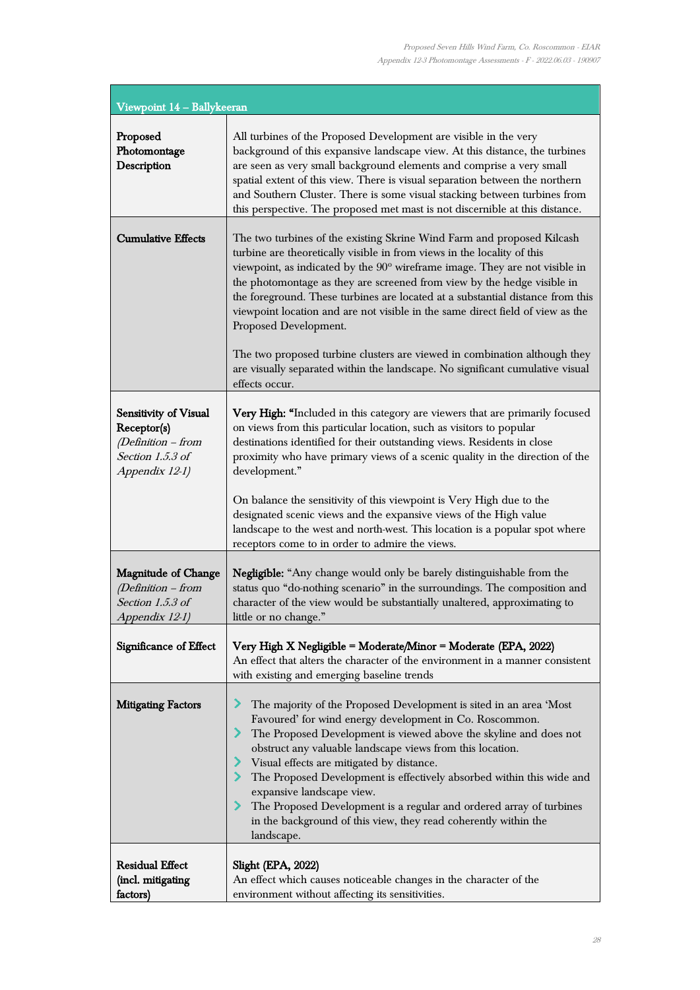÷,

| Viewpoint 14 - Ballykeeran                                                                                |                                                                                                                                                                                                                                                                                                                                                                                                                                                                                                                                                                                                                                                                                          |
|-----------------------------------------------------------------------------------------------------------|------------------------------------------------------------------------------------------------------------------------------------------------------------------------------------------------------------------------------------------------------------------------------------------------------------------------------------------------------------------------------------------------------------------------------------------------------------------------------------------------------------------------------------------------------------------------------------------------------------------------------------------------------------------------------------------|
| Proposed<br>Photomontage<br>Description                                                                   | All turbines of the Proposed Development are visible in the very<br>background of this expansive landscape view. At this distance, the turbines<br>are seen as very small background elements and comprise a very small<br>spatial extent of this view. There is visual separation between the northern<br>and Southern Cluster. There is some visual stacking between turbines from<br>this perspective. The proposed met mast is not discernible at this distance.                                                                                                                                                                                                                     |
| <b>Cumulative Effects</b>                                                                                 | The two turbines of the existing Skrine Wind Farm and proposed Kilcash<br>turbine are theoretically visible in from views in the locality of this<br>viewpoint, as indicated by the 90° wireframe image. They are not visible in<br>the photomontage as they are screened from view by the hedge visible in<br>the foreground. These turbines are located at a substantial distance from this<br>viewpoint location and are not visible in the same direct field of view as the<br>Proposed Development.<br>The two proposed turbine clusters are viewed in combination although they<br>are visually separated within the landscape. No significant cumulative visual<br>effects occur. |
| <b>Sensitivity of Visual</b><br>Receptor(s)<br>$(Definition - from$<br>Section 1.5.3 of<br>Appendix 12-1) | Very High: "Included in this category are viewers that are primarily focused<br>on views from this particular location, such as visitors to popular<br>destinations identified for their outstanding views. Residents in close<br>proximity who have primary views of a scenic quality in the direction of the<br>development."<br>On balance the sensitivity of this viewpoint is Very High due to the<br>designated scenic views and the expansive views of the High value<br>landscape to the west and north-west. This location is a popular spot where<br>receptors come to in order to admire the views.                                                                           |
| <b>Magnitude of Change</b><br>$(Definition - from$<br>Section 1.5.3 of<br>Appendix 12-1)                  | Negligible: "Any change would only be barely distinguishable from the<br>status quo "do-nothing scenario" in the surroundings. The composition and<br>character of the view would be substantially unaltered, approximating to<br>little or no change."                                                                                                                                                                                                                                                                                                                                                                                                                                  |
| Significance of Effect                                                                                    | Very High X Negligible = Moderate/Minor = Moderate (EPA, 2022)<br>An effect that alters the character of the environment in a manner consistent<br>with existing and emerging baseline trends                                                                                                                                                                                                                                                                                                                                                                                                                                                                                            |
| <b>Mitigating Factors</b>                                                                                 | The majority of the Proposed Development is sited in an area 'Most<br>Favoured' for wind energy development in Co. Roscommon.<br>The Proposed Development is viewed above the skyline and does not<br>obstruct any valuable landscape views from this location.<br>Visual effects are mitigated by distance.<br>The Proposed Development is effectively absorbed within this wide and<br>expansive landscape view.<br>The Proposed Development is a regular and ordered array of turbines<br>in the background of this view, they read coherently within the<br>landscape.                                                                                                               |
| <b>Residual Effect</b><br>(incl. mitigating<br>factors)                                                   | Slight (EPA, 2022)<br>An effect which causes noticeable changes in the character of the<br>environment without affecting its sensitivities.                                                                                                                                                                                                                                                                                                                                                                                                                                                                                                                                              |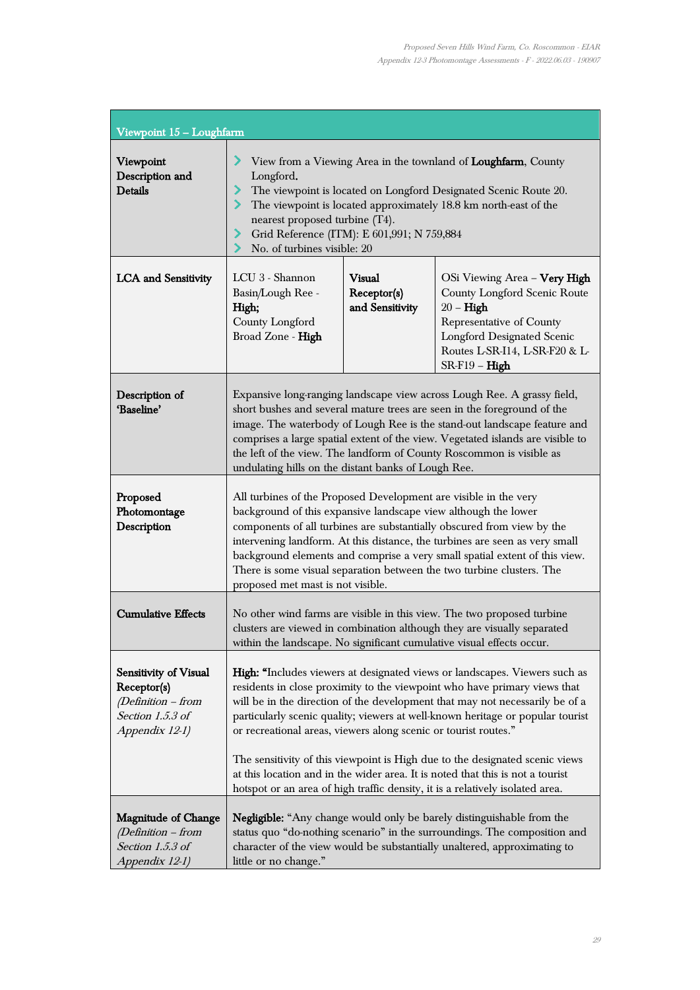| Viewpoint 15 - Loughfarm                                                                           |                                                                                                                                                                                                                                                                                                                                                                                                                                                                                                                                                                |                                          |                                                                                                                                                                                                          |
|----------------------------------------------------------------------------------------------------|----------------------------------------------------------------------------------------------------------------------------------------------------------------------------------------------------------------------------------------------------------------------------------------------------------------------------------------------------------------------------------------------------------------------------------------------------------------------------------------------------------------------------------------------------------------|------------------------------------------|----------------------------------------------------------------------------------------------------------------------------------------------------------------------------------------------------------|
| Viewpoint<br>Description and<br>Details                                                            | View from a Viewing Area in the townland of Loughfarm, County<br>⋗<br>Longford.<br>The viewpoint is located on Longford Designated Scenic Route 20.<br>⋗<br>The viewpoint is located approximately 18.8 km north-east of the<br>nearest proposed turbine (T4).<br>Grid Reference (ITM): E 601,991; N 759,884<br>No. of turbines visible: 20                                                                                                                                                                                                                    |                                          |                                                                                                                                                                                                          |
| <b>LCA</b> and Sensitivity                                                                         | LCU 3 - Shannon<br>Basin/Lough Ree -<br>High;<br>County Longford<br>Broad Zone - High                                                                                                                                                                                                                                                                                                                                                                                                                                                                          | Visual<br>Receptor(s)<br>and Sensitivity | OSi Viewing Area - Very High<br><b>County Longford Scenic Route</b><br>$20 - High$<br>Representative of County<br><b>Longford Designated Scenic</b><br>Routes L-SR-I14, L-SR-F20 & L-<br>$SR-F19 - High$ |
| Description of<br>'Baseline'                                                                       | Expansive long-ranging landscape view across Lough Ree. A grassy field,<br>short bushes and several mature trees are seen in the foreground of the<br>image. The waterbody of Lough Ree is the stand-out landscape feature and<br>comprises a large spatial extent of the view. Vegetated islands are visible to<br>the left of the view. The landform of County Roscommon is visible as<br>undulating hills on the distant banks of Lough Ree.                                                                                                                |                                          |                                                                                                                                                                                                          |
| Proposed<br>Photomontage<br>Description                                                            | All turbines of the Proposed Development are visible in the very<br>background of this expansive landscape view although the lower<br>components of all turbines are substantially obscured from view by the<br>intervening landform. At this distance, the turbines are seen as very small<br>background elements and comprise a very small spatial extent of this view.<br>There is some visual separation between the two turbine clusters. The<br>proposed met mast is not visible.                                                                        |                                          |                                                                                                                                                                                                          |
| <b>Cumulative Effects</b>                                                                          | No other wind farms are visible in this view. The two proposed turbine<br>clusters are viewed in combination although they are visually separated<br>within the landscape. No significant cumulative visual effects occur.                                                                                                                                                                                                                                                                                                                                     |                                          |                                                                                                                                                                                                          |
| Sensitivity of Visual<br>Receptor(s)<br>(Definition - from<br>Section $1.5.3$ of<br>Appendix 12-1) | High: "Includes viewers at designated views or landscapes. Viewers such as<br>residents in close proximity to the viewpoint who have primary views that<br>will be in the direction of the development that may not necessarily be of a<br>particularly scenic quality; viewers at well-known heritage or popular tourist<br>or recreational areas, viewers along scenic or tourist routes."<br>The sensitivity of this viewpoint is High due to the designated scenic views<br>at this location and in the wider area. It is noted that this is not a tourist |                                          |                                                                                                                                                                                                          |
| <b>Magnitude of Change</b><br>$(Definition - from$<br>Section 1.5.3 of<br>Appendix 12-1)           | hotspot or an area of high traffic density, it is a relatively isolated area.<br><b>Negligible:</b> "Any change would only be barely distinguishable from the<br>status quo "do-nothing scenario" in the surroundings. The composition and<br>character of the view would be substantially unaltered, approximating to<br>little or no change."                                                                                                                                                                                                                |                                          |                                                                                                                                                                                                          |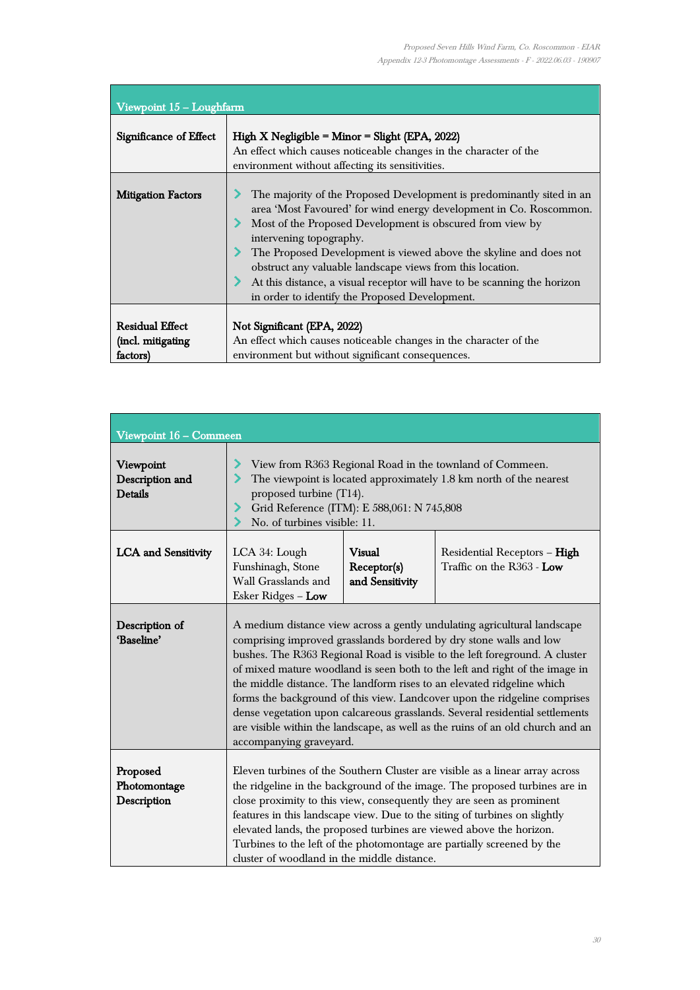| Viewpoint 15 - Loughfarm                                |                                                                                                                                                                                                                                                                                                                                                                                                                                                                                                     |  |  |                                                  |  |  |
|---------------------------------------------------------|-----------------------------------------------------------------------------------------------------------------------------------------------------------------------------------------------------------------------------------------------------------------------------------------------------------------------------------------------------------------------------------------------------------------------------------------------------------------------------------------------------|--|--|--------------------------------------------------|--|--|
| Significance of Effect                                  | High X Negligible = Minor = Slight (EPA, $2022$ )<br>An effect which causes noticeable changes in the character of the                                                                                                                                                                                                                                                                                                                                                                              |  |  | environment without affecting its sensitivities. |  |  |
| <b>Mitigation Factors</b>                               | The majority of the Proposed Development is predominantly sited in an<br>area 'Most Favoured' for wind energy development in Co. Roscommon.<br>Most of the Proposed Development is obscured from view by<br>intervening topography.<br>The Proposed Development is viewed above the skyline and does not<br>obstruct any valuable landscape views from this location.<br>At this distance, a visual receptor will have to be scanning the horizon<br>in order to identify the Proposed Development. |  |  |                                                  |  |  |
| <b>Residual Effect</b><br>(incl. mitigating<br>factors) | Not Significant (EPA, 2022)<br>An effect which causes noticeable changes in the character of the<br>environment but without significant consequences.                                                                                                                                                                                                                                                                                                                                               |  |  |                                                  |  |  |

| Viewpoint 16 - Commeen                         |                                                                                                                                                                                                                                                                                                                                                                                                                                                                                                                                                                                                                                                                  |                                          |                                                           |
|------------------------------------------------|------------------------------------------------------------------------------------------------------------------------------------------------------------------------------------------------------------------------------------------------------------------------------------------------------------------------------------------------------------------------------------------------------------------------------------------------------------------------------------------------------------------------------------------------------------------------------------------------------------------------------------------------------------------|------------------------------------------|-----------------------------------------------------------|
| Viewpoint<br>Description and<br><b>Details</b> | View from R363 Regional Road in the townland of Commeen.<br>The viewpoint is located approximately 1.8 km north of the nearest<br>proposed turbine (T14).<br>Grid Reference (ITM): E 588,061: N 745,808<br>No. of turbines visible: 11.                                                                                                                                                                                                                                                                                                                                                                                                                          |                                          |                                                           |
| <b>LCA</b> and Sensitivity                     | LCA 34: Lough<br>Funshinagh, Stone<br>Wall Grasslands and<br>Esker Ridges - Low                                                                                                                                                                                                                                                                                                                                                                                                                                                                                                                                                                                  | Visual<br>Receptor(s)<br>and Sensitivity | Residential Receptors - High<br>Traffic on the R363 - Low |
| Description of<br>'Baseline'                   | A medium distance view across a gently undulating agricultural landscape<br>comprising improved grasslands bordered by dry stone walls and low<br>bushes. The R363 Regional Road is visible to the left foreground. A cluster<br>of mixed mature woodland is seen both to the left and right of the image in<br>the middle distance. The landform rises to an elevated ridgeline which<br>forms the background of this view. Landcover upon the ridgeline comprises<br>dense vegetation upon calcareous grasslands. Several residential settlements<br>are visible within the landscape, as well as the ruins of an old church and an<br>accompanying graveyard. |                                          |                                                           |
| Proposed<br>Photomontage<br>Description        | Eleven turbines of the Southern Cluster are visible as a linear array across<br>the ridgeline in the background of the image. The proposed turbines are in<br>close proximity to this view, consequently they are seen as prominent<br>features in this landscape view. Due to the siting of turbines on slightly<br>elevated lands, the proposed turbines are viewed above the horizon.<br>Turbines to the left of the photomontage are partially screened by the<br>cluster of woodland in the middle distance.                                                                                                                                                |                                          |                                                           |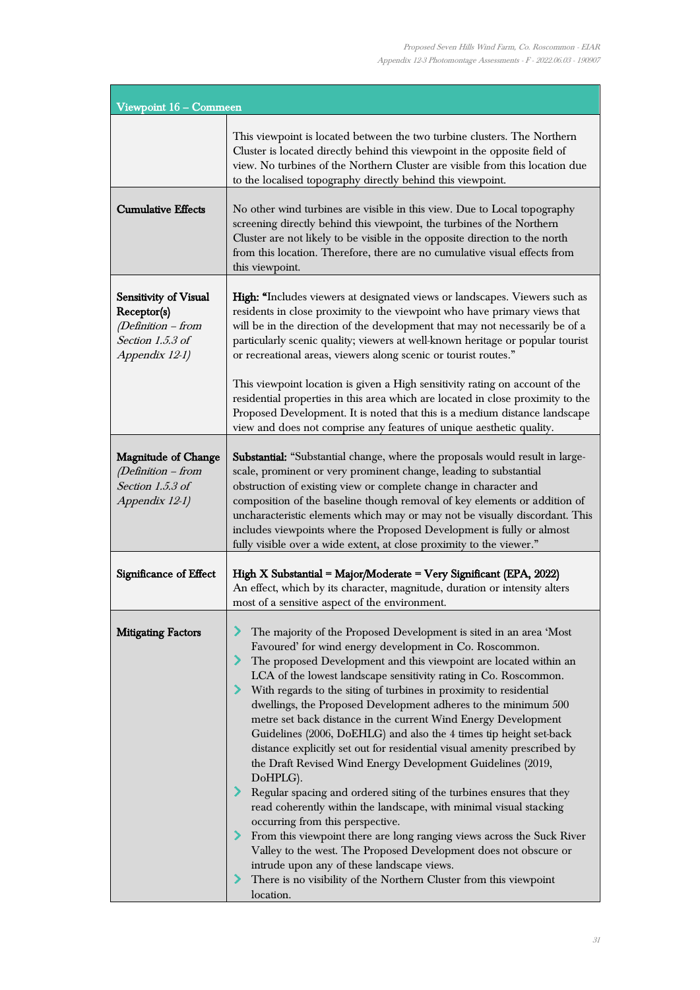| Viewpoint 16 - Commeen                                                                                  |                                                                                                                                                                                                                                                                                                                                                                                                                                                                                                                                                                                                                                                                                                                                                                                                                                                                                                                                                                                                                                                                                                                                                                                    |
|---------------------------------------------------------------------------------------------------------|------------------------------------------------------------------------------------------------------------------------------------------------------------------------------------------------------------------------------------------------------------------------------------------------------------------------------------------------------------------------------------------------------------------------------------------------------------------------------------------------------------------------------------------------------------------------------------------------------------------------------------------------------------------------------------------------------------------------------------------------------------------------------------------------------------------------------------------------------------------------------------------------------------------------------------------------------------------------------------------------------------------------------------------------------------------------------------------------------------------------------------------------------------------------------------|
|                                                                                                         | This viewpoint is located between the two turbine clusters. The Northern<br>Cluster is located directly behind this viewpoint in the opposite field of<br>view. No turbines of the Northern Cluster are visible from this location due<br>to the localised topography directly behind this viewpoint.                                                                                                                                                                                                                                                                                                                                                                                                                                                                                                                                                                                                                                                                                                                                                                                                                                                                              |
| <b>Cumulative Effects</b>                                                                               | No other wind turbines are visible in this view. Due to Local topography<br>screening directly behind this viewpoint, the turbines of the Northern<br>Cluster are not likely to be visible in the opposite direction to the north<br>from this location. Therefore, there are no cumulative visual effects from<br>this viewpoint.                                                                                                                                                                                                                                                                                                                                                                                                                                                                                                                                                                                                                                                                                                                                                                                                                                                 |
| <b>Sensitivity of Visual</b><br>Receptor(s)<br>(Definition - from<br>Section 1.5.3 of<br>Appendix 12-1) | <b>High:</b> "Includes viewers at designated views or landscapes. Viewers such as<br>residents in close proximity to the viewpoint who have primary views that<br>will be in the direction of the development that may not necessarily be of a<br>particularly scenic quality; viewers at well-known heritage or popular tourist<br>or recreational areas, viewers along scenic or tourist routes."<br>This viewpoint location is given a High sensitivity rating on account of the<br>residential properties in this area which are located in close proximity to the<br>Proposed Development. It is noted that this is a medium distance landscape<br>view and does not comprise any features of unique aesthetic quality.                                                                                                                                                                                                                                                                                                                                                                                                                                                       |
| <b>Magnitude of Change</b><br>(Definition – from<br>Section 1.5.3 of<br>Appendix 12-1)                  | Substantial: "Substantial change, where the proposals would result in large-<br>scale, prominent or very prominent change, leading to substantial<br>obstruction of existing view or complete change in character and<br>composition of the baseline though removal of key elements or addition of<br>uncharacteristic elements which may or may not be visually discordant. This<br>includes viewpoints where the Proposed Development is fully or almost<br>fully visible over a wide extent, at close proximity to the viewer."                                                                                                                                                                                                                                                                                                                                                                                                                                                                                                                                                                                                                                                 |
| <b>Significance of Effect</b>                                                                           | High X Substantial = Major/Moderate = Very Significant (EPA, 2022)<br>An effect, which by its character, magnitude, duration or intensity alters<br>most of a sensitive aspect of the environment.                                                                                                                                                                                                                                                                                                                                                                                                                                                                                                                                                                                                                                                                                                                                                                                                                                                                                                                                                                                 |
| <b>Mitigating Factors</b>                                                                               | The majority of the Proposed Development is sited in an area 'Most<br>Favoured' for wind energy development in Co. Roscommon.<br>The proposed Development and this viewpoint are located within an<br>LCA of the lowest landscape sensitivity rating in Co. Roscommon.<br>> With regards to the siting of turbines in proximity to residential<br>dwellings, the Proposed Development adheres to the minimum 500<br>metre set back distance in the current Wind Energy Development<br>Guidelines (2006, DoEHLG) and also the 4 times tip height set-back<br>distance explicitly set out for residential visual amenity prescribed by<br>the Draft Revised Wind Energy Development Guidelines (2019,<br>DoHPLG).<br>Regular spacing and ordered siting of the turbines ensures that they<br>read coherently within the landscape, with minimal visual stacking<br>occurring from this perspective.<br>> From this viewpoint there are long ranging views across the Suck River<br>Valley to the west. The Proposed Development does not obscure or<br>intrude upon any of these landscape views.<br>There is no visibility of the Northern Cluster from this viewpoint<br>location. |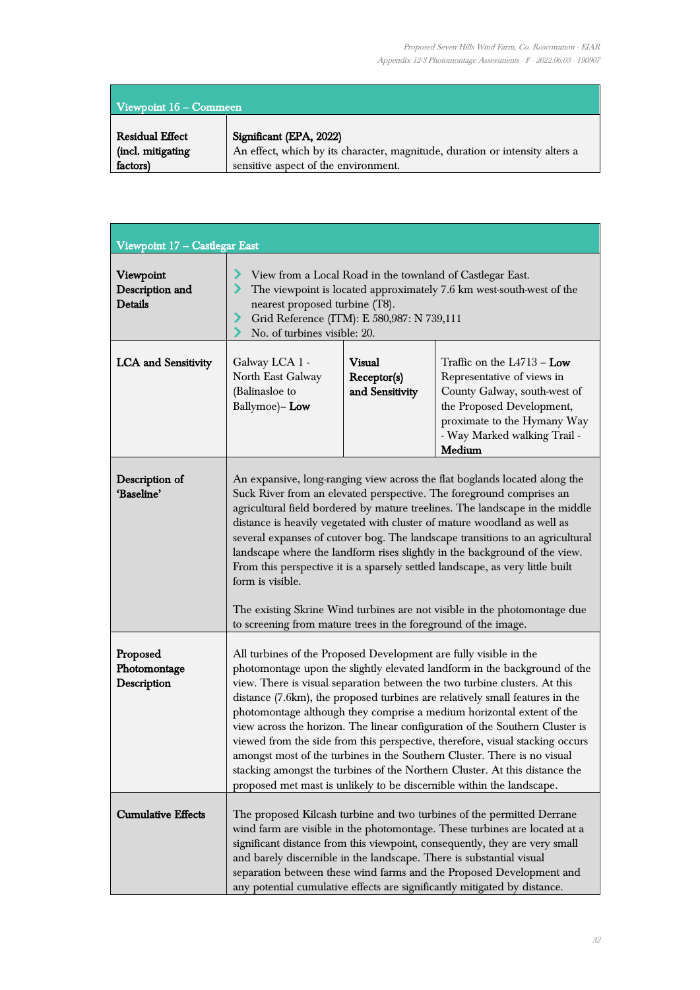| Viewpoint $16 -$ Commeen |                                                                              |  |
|--------------------------|------------------------------------------------------------------------------|--|
| <b>Residual Effect</b>   | Significant (EPA, 2022)                                                      |  |
| (incl. mitigating        | An effect, which by its character, magnitude, duration or intensity alters a |  |
| factors)                 | sensitive aspect of the environment.                                         |  |

| Viewpoint 17 - Castlegar East                  |                                                                                                                                                                                                                                                                                                                                                                                                                                                                                                                                                                                                                                                                                                                                                                                            |                                                 |                                                                                                                                                                                                                                                                                                                                                                                                                                                                  |
|------------------------------------------------|--------------------------------------------------------------------------------------------------------------------------------------------------------------------------------------------------------------------------------------------------------------------------------------------------------------------------------------------------------------------------------------------------------------------------------------------------------------------------------------------------------------------------------------------------------------------------------------------------------------------------------------------------------------------------------------------------------------------------------------------------------------------------------------------|-------------------------------------------------|------------------------------------------------------------------------------------------------------------------------------------------------------------------------------------------------------------------------------------------------------------------------------------------------------------------------------------------------------------------------------------------------------------------------------------------------------------------|
| Viewpoint<br>Description and<br><b>Details</b> | ⋗<br>View from a Local Road in the townland of Castlegar East.<br>⋗<br>The viewpoint is located approximately 7.6 km west-south-west of the<br>nearest proposed turbine (T8).<br>Grid Reference (ITM): E 580,987: N 739,111<br>⋗<br>No. of turbines visible: 20.<br>⋗                                                                                                                                                                                                                                                                                                                                                                                                                                                                                                                      |                                                 |                                                                                                                                                                                                                                                                                                                                                                                                                                                                  |
| <b>LCA</b> and Sensitivity                     | Galway LCA 1 -<br>North East Galway<br>(Balinasloe to<br>Ballymoe)-Low                                                                                                                                                                                                                                                                                                                                                                                                                                                                                                                                                                                                                                                                                                                     | <b>Visual</b><br>Receptor(s)<br>and Sensitivity | Traffic on the $L4713 - Low$<br>Representative of views in<br>County Galway, south-west of<br>the Proposed Development,<br>proximate to the Hymany Way<br>- Way Marked walking Trail -<br>Medium                                                                                                                                                                                                                                                                 |
| Description of<br>'Baseline'                   | An expansive, long-ranging view across the flat boglands located along the<br>Suck River from an elevated perspective. The foreground comprises an<br>agricultural field bordered by mature treelines. The landscape in the middle<br>distance is heavily vegetated with cluster of mature woodland as well as<br>several expanses of cutover bog. The landscape transitions to an agricultural<br>landscape where the landform rises slightly in the background of the view.<br>From this perspective it is a sparsely settled landscape, as very little built<br>form is visible.<br>The existing Skrine Wind turbines are not visible in the photomontage due<br>to screening from mature trees in the foreground of the image.                                                         |                                                 |                                                                                                                                                                                                                                                                                                                                                                                                                                                                  |
| Proposed<br>Photomontage<br>Description        | All turbines of the Proposed Development are fully visible in the<br>photomontage upon the slightly elevated landform in the background of the<br>view. There is visual separation between the two turbine clusters. At this<br>distance (7.6km), the proposed turbines are relatively small features in the<br>photomontage although they comprise a medium horizontal extent of the<br>view across the horizon. The linear configuration of the Southern Cluster is<br>viewed from the side from this perspective, therefore, visual stacking occurs<br>amongst most of the turbines in the Southern Cluster. There is no visual<br>stacking amongst the turbines of the Northern Cluster. At this distance the<br>proposed met mast is unlikely to be discernible within the landscape. |                                                 |                                                                                                                                                                                                                                                                                                                                                                                                                                                                  |
| <b>Cumulative Effects</b>                      |                                                                                                                                                                                                                                                                                                                                                                                                                                                                                                                                                                                                                                                                                                                                                                                            |                                                 | The proposed Kilcash turbine and two turbines of the permitted Derrane<br>wind farm are visible in the photomontage. These turbines are located at a<br>significant distance from this viewpoint, consequently, they are very small<br>and barely discernible in the landscape. There is substantial visual<br>separation between these wind farms and the Proposed Development and<br>any potential cumulative effects are significantly mitigated by distance. |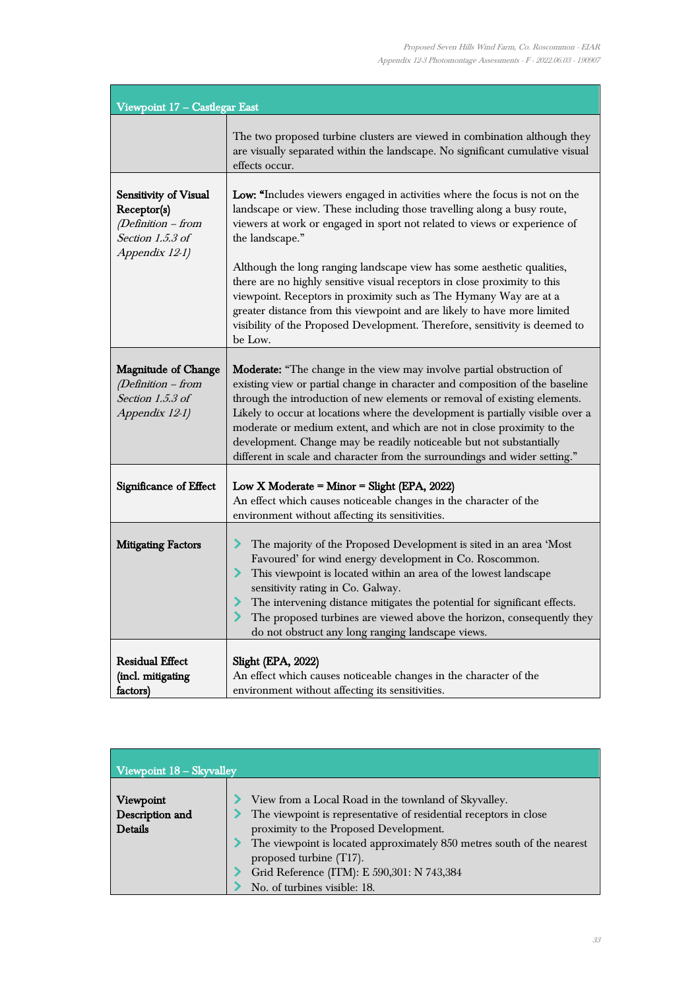| Viewpoint 17 - Castlegar East                                                                      |                                                                                                                                                                                                                                                                                                                                                                                                                                                                                                                                                                                                                                                         |
|----------------------------------------------------------------------------------------------------|---------------------------------------------------------------------------------------------------------------------------------------------------------------------------------------------------------------------------------------------------------------------------------------------------------------------------------------------------------------------------------------------------------------------------------------------------------------------------------------------------------------------------------------------------------------------------------------------------------------------------------------------------------|
|                                                                                                    | The two proposed turbine clusters are viewed in combination although they<br>are visually separated within the landscape. No significant cumulative visual<br>effects occur.                                                                                                                                                                                                                                                                                                                                                                                                                                                                            |
| Sensitivity of Visual<br>Receptor(s)<br>$(Definition - from$<br>Section 1.5.3 of<br>Appendix 12-1) | Low: "Includes viewers engaged in activities where the focus is not on the<br>landscape or view. These including those travelling along a busy route,<br>viewers at work or engaged in sport not related to views or experience of<br>the landscape."<br>Although the long ranging landscape view has some aesthetic qualities,<br>there are no highly sensitive visual receptors in close proximity to this<br>viewpoint. Receptors in proximity such as The Hymany Way are at a<br>greater distance from this viewpoint and are likely to have more limited<br>visibility of the Proposed Development. Therefore, sensitivity is deemed to<br>be Low. |
| <b>Magnitude of Change</b><br>(Definition - from<br>Section 1.5.3 of<br>Appendix 12-1)             | Moderate: "The change in the view may involve partial obstruction of<br>existing view or partial change in character and composition of the baseline<br>through the introduction of new elements or removal of existing elements.<br>Likely to occur at locations where the development is partially visible over a<br>moderate or medium extent, and which are not in close proximity to the<br>development. Change may be readily noticeable but not substantially<br>different in scale and character from the surroundings and wider setting."                                                                                                      |
| Significance of Effect                                                                             | Low X Moderate = Minor = Slight (EPA, 2022)<br>An effect which causes noticeable changes in the character of the<br>environment without affecting its sensitivities.                                                                                                                                                                                                                                                                                                                                                                                                                                                                                    |
| <b>Mitigating Factors</b>                                                                          | The majority of the Proposed Development is sited in an area 'Most<br>⋗<br>Favoured' for wind energy development in Co. Roscommon.<br>⋗<br>This viewpoint is located within an area of the lowest landscape<br>sensitivity rating in Co. Galway.<br>The intervening distance mitigates the potential for significant effects.<br>⋗<br>≻<br>The proposed turbines are viewed above the horizon, consequently they<br>do not obstruct any long ranging landscape views.                                                                                                                                                                                   |
| <b>Residual Effect</b><br>(incl. mitigating<br>factors)                                            | Slight (EPA, 2022)<br>An effect which causes noticeable changes in the character of the<br>environment without affecting its sensitivities.                                                                                                                                                                                                                                                                                                                                                                                                                                                                                                             |

| Viewpoint 18 - Skyvalley                       |                                                                                                                                                                                                                                                                                                                                                        |
|------------------------------------------------|--------------------------------------------------------------------------------------------------------------------------------------------------------------------------------------------------------------------------------------------------------------------------------------------------------------------------------------------------------|
| Viewpoint<br>Description and<br><b>Details</b> | View from a Local Road in the townland of Skyvalley.<br>The viewpoint is representative of residential receptors in close<br>proximity to the Proposed Development.<br>The viewpoint is located approximately 850 metres south of the nearest<br>proposed turbine (T17).<br>Grid Reference (ITM): E 590,301: N 743,384<br>No. of turbines visible: 18. |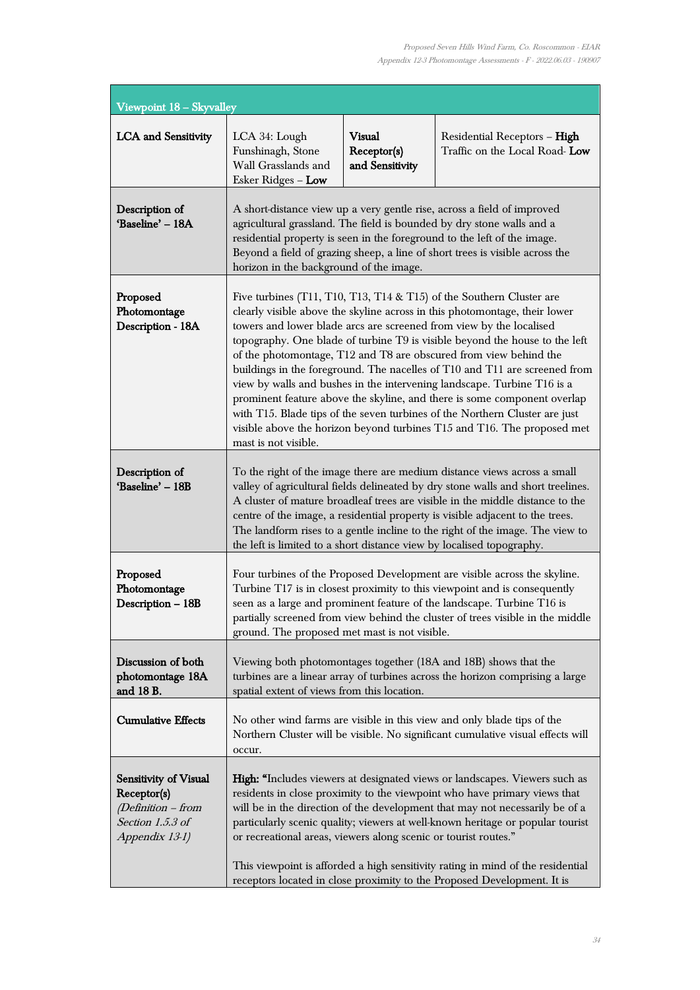| Viewpoint 18 - Skyvalley                                                                                |                                                                                                                                                                                                                                                                                                                                                                                                                                                                                                                                                                                                                                                                                                                                                                                                        |                                                 |                                                                                                                                                                                                                                                                                                                                                                                                                                                                                                |
|---------------------------------------------------------------------------------------------------------|--------------------------------------------------------------------------------------------------------------------------------------------------------------------------------------------------------------------------------------------------------------------------------------------------------------------------------------------------------------------------------------------------------------------------------------------------------------------------------------------------------------------------------------------------------------------------------------------------------------------------------------------------------------------------------------------------------------------------------------------------------------------------------------------------------|-------------------------------------------------|------------------------------------------------------------------------------------------------------------------------------------------------------------------------------------------------------------------------------------------------------------------------------------------------------------------------------------------------------------------------------------------------------------------------------------------------------------------------------------------------|
| <b>LCA</b> and Sensitivity                                                                              | LCA 34: Lough<br>Funshinagh, Stone<br>Wall Grasslands and<br>Esker Ridges - Low                                                                                                                                                                                                                                                                                                                                                                                                                                                                                                                                                                                                                                                                                                                        | <b>Visual</b><br>Receptor(s)<br>and Sensitivity | Residential Receptors - High<br>Traffic on the Local Road-Low                                                                                                                                                                                                                                                                                                                                                                                                                                  |
| Description of<br>'Baseline' - 18A                                                                      | A short-distance view up a very gentle rise, across a field of improved<br>agricultural grassland. The field is bounded by dry stone walls and a<br>residential property is seen in the foreground to the left of the image.<br>Beyond a field of grazing sheep, a line of short trees is visible across the<br>horizon in the background of the image.                                                                                                                                                                                                                                                                                                                                                                                                                                                |                                                 |                                                                                                                                                                                                                                                                                                                                                                                                                                                                                                |
| Proposed<br>Photomontage<br>Description - 18A                                                           | Five turbines (T11, T10, T13, T14 $&$ T15) of the Southern Cluster are<br>clearly visible above the skyline across in this photomontage, their lower<br>towers and lower blade arcs are screened from view by the localised<br>topography. One blade of turbine T9 is visible beyond the house to the left<br>of the photomontage, T12 and T8 are obscured from view behind the<br>buildings in the foreground. The nacelles of T10 and T11 are screened from<br>view by walls and bushes in the intervening landscape. Turbine T16 is a<br>prominent feature above the skyline, and there is some component overlap<br>with T15. Blade tips of the seven turbines of the Northern Cluster are just<br>visible above the horizon beyond turbines T15 and T16. The proposed met<br>mast is not visible. |                                                 |                                                                                                                                                                                                                                                                                                                                                                                                                                                                                                |
| Description of<br>'Baseline' - 18B                                                                      | To the right of the image there are medium distance views across a small<br>valley of agricultural fields delineated by dry stone walls and short treelines.<br>A cluster of mature broadleaf trees are visible in the middle distance to the<br>centre of the image, a residential property is visible adjacent to the trees.<br>The landform rises to a gentle incline to the right of the image. The view to<br>the left is limited to a short distance view by localised topography.                                                                                                                                                                                                                                                                                                               |                                                 |                                                                                                                                                                                                                                                                                                                                                                                                                                                                                                |
| Proposed<br>Photomontage<br>Description - 18B                                                           | ground. The proposed met mast is not visible.                                                                                                                                                                                                                                                                                                                                                                                                                                                                                                                                                                                                                                                                                                                                                          |                                                 | Four turbines of the Proposed Development are visible across the skyline.<br>Turbine T17 is in closest proximity to this viewpoint and is consequently<br>seen as a large and prominent feature of the landscape. Turbine T16 is<br>partially screened from view behind the cluster of trees visible in the middle                                                                                                                                                                             |
| Discussion of both<br>photomontage 18A<br>and 18 B.                                                     | spatial extent of views from this location.                                                                                                                                                                                                                                                                                                                                                                                                                                                                                                                                                                                                                                                                                                                                                            |                                                 | Viewing both photomontages together (18A and 18B) shows that the<br>turbines are a linear array of turbines across the horizon comprising a large                                                                                                                                                                                                                                                                                                                                              |
| <b>Cumulative Effects</b>                                                                               | occur.                                                                                                                                                                                                                                                                                                                                                                                                                                                                                                                                                                                                                                                                                                                                                                                                 |                                                 | No other wind farms are visible in this view and only blade tips of the<br>Northern Cluster will be visible. No significant cumulative visual effects will                                                                                                                                                                                                                                                                                                                                     |
| <b>Sensitivity of Visual</b><br>Receptor(s)<br>(Definition - from<br>Section 1.5.3 of<br>Appendix 13-1) | or recreational areas, viewers along scenic or tourist routes."                                                                                                                                                                                                                                                                                                                                                                                                                                                                                                                                                                                                                                                                                                                                        |                                                 | <b>High:</b> "Includes viewers at designated views or landscapes. Viewers such as<br>residents in close proximity to the viewpoint who have primary views that<br>will be in the direction of the development that may not necessarily be of a<br>particularly scenic quality; viewers at well-known heritage or popular tourist<br>This viewpoint is afforded a high sensitivity rating in mind of the residential<br>receptors located in close proximity to the Proposed Development. It is |